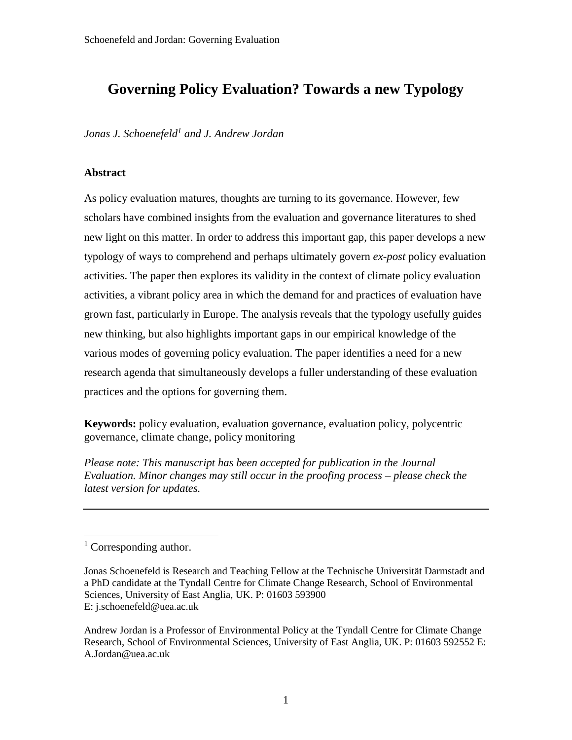# **Governing Policy Evaluation? Towards a new Typology**

*Jonas J. Schoenefeld<sup>1</sup> and J. Andrew Jordan*

### **Abstract**

As policy evaluation matures, thoughts are turning to its governance. However, few scholars have combined insights from the evaluation and governance literatures to shed new light on this matter. In order to address this important gap, this paper develops a new typology of ways to comprehend and perhaps ultimately govern *ex-post* policy evaluation activities. The paper then explores its validity in the context of climate policy evaluation activities, a vibrant policy area in which the demand for and practices of evaluation have grown fast, particularly in Europe. The analysis reveals that the typology usefully guides new thinking, but also highlights important gaps in our empirical knowledge of the various modes of governing policy evaluation. The paper identifies a need for a new research agenda that simultaneously develops a fuller understanding of these evaluation practices and the options for governing them.

**Keywords:** policy evaluation, evaluation governance, evaluation policy, polycentric governance, climate change, policy monitoring

*Please note: This manuscript has been accepted for publication in the Journal Evaluation. Minor changes may still occur in the proofing process – please check the latest version for updates.*

 $1$  Corresponding author.

Jonas Schoenefeld is Research and Teaching Fellow at the Technische Universität Darmstadt and a PhD candidate at the Tyndall Centre for Climate Change Research, School of Environmental Sciences, University of East Anglia, UK. P: 01603 593900 E: j.schoenefeld@uea.ac.uk

Andrew Jordan is a Professor of Environmental Policy at the Tyndall Centre for Climate Change Research, School of Environmental Sciences, University of East Anglia, UK. P: 01603 592552 E: A.Jordan@uea.ac.uk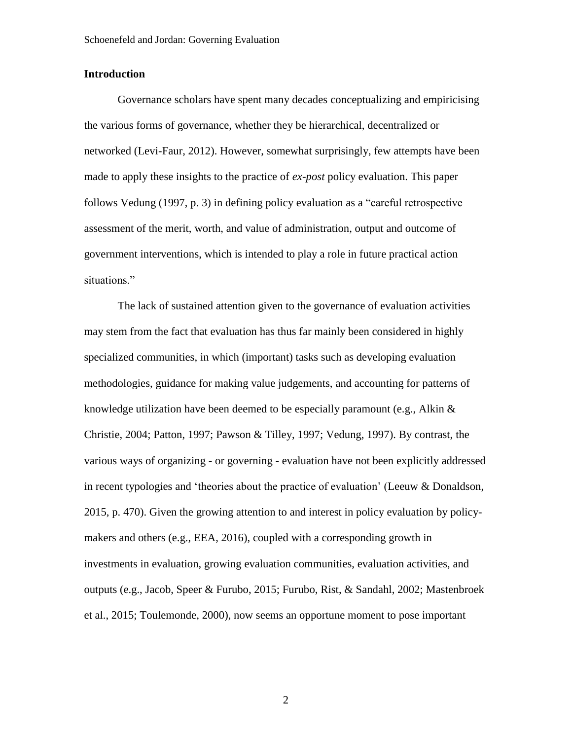### **Introduction**

Governance scholars have spent many decades conceptualizing and empiricising the various forms of governance, whether they be hierarchical, decentralized or networked (Levi-Faur, 2012). However, somewhat surprisingly, few attempts have been made to apply these insights to the practice of *ex-post* policy evaluation. This paper follows Vedung (1997, p. 3) in defining policy evaluation as a "careful retrospective assessment of the merit, worth, and value of administration, output and outcome of government interventions, which is intended to play a role in future practical action situations."

The lack of sustained attention given to the governance of evaluation activities may stem from the fact that evaluation has thus far mainly been considered in highly specialized communities, in which (important) tasks such as developing evaluation methodologies, guidance for making value judgements, and accounting for patterns of knowledge utilization have been deemed to be especially paramount (e.g., Alkin  $\&$ Christie, 2004; Patton, 1997; Pawson & Tilley, 1997; Vedung, 1997). By contrast, the various ways of organizing - or governing - evaluation have not been explicitly addressed in recent typologies and 'theories about the practice of evaluation' (Leeuw & Donaldson, 2015, p. 470). Given the growing attention to and interest in policy evaluation by policymakers and others (e.g., EEA, 2016), coupled with a corresponding growth in investments in evaluation, growing evaluation communities, evaluation activities, and outputs (e.g., Jacob, Speer & Furubo, 2015; Furubo, Rist, & Sandahl, 2002; Mastenbroek et al., 2015; Toulemonde, 2000), now seems an opportune moment to pose important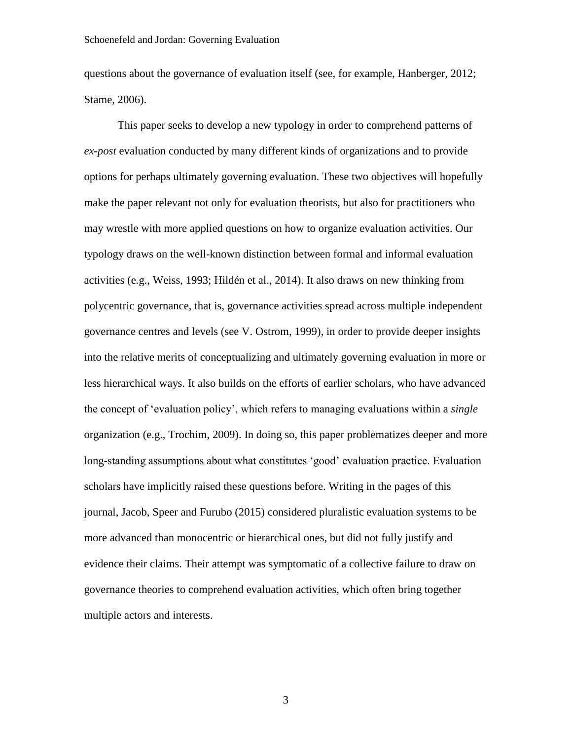questions about the governance of evaluation itself (see, for example, Hanberger, 2012; Stame, 2006).

This paper seeks to develop a new typology in order to comprehend patterns of *ex-post* evaluation conducted by many different kinds of organizations and to provide options for perhaps ultimately governing evaluation. These two objectives will hopefully make the paper relevant not only for evaluation theorists, but also for practitioners who may wrestle with more applied questions on how to organize evaluation activities. Our typology draws on the well-known distinction between formal and informal evaluation activities (e.g., Weiss, 1993; Hildén et al., 2014). It also draws on new thinking from polycentric governance, that is, governance activities spread across multiple independent governance centres and levels (see V. Ostrom, 1999), in order to provide deeper insights into the relative merits of conceptualizing and ultimately governing evaluation in more or less hierarchical ways. It also builds on the efforts of earlier scholars, who have advanced the concept of 'evaluation policy', which refers to managing evaluations within a *single* organization (e.g., Trochim, 2009). In doing so, this paper problematizes deeper and more long-standing assumptions about what constitutes 'good' evaluation practice. Evaluation scholars have implicitly raised these questions before. Writing in the pages of this journal, Jacob, Speer and Furubo (2015) considered pluralistic evaluation systems to be more advanced than monocentric or hierarchical ones, but did not fully justify and evidence their claims. Their attempt was symptomatic of a collective failure to draw on governance theories to comprehend evaluation activities, which often bring together multiple actors and interests.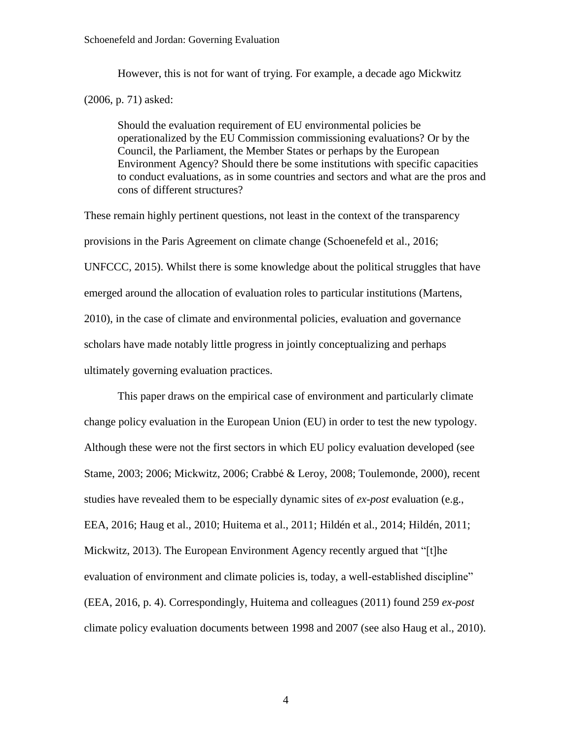However, this is not for want of trying. For example, a decade ago Mickwitz (2006, p. 71) asked:

Should the evaluation requirement of EU environmental policies be operationalized by the EU Commission commissioning evaluations? Or by the Council, the Parliament, the Member States or perhaps by the European Environment Agency? Should there be some institutions with specific capacities to conduct evaluations, as in some countries and sectors and what are the pros and cons of different structures?

These remain highly pertinent questions, not least in the context of the transparency provisions in the Paris Agreement on climate change (Schoenefeld et al., 2016; UNFCCC, 2015). Whilst there is some knowledge about the political struggles that have emerged around the allocation of evaluation roles to particular institutions (Martens, 2010), in the case of climate and environmental policies, evaluation and governance scholars have made notably little progress in jointly conceptualizing and perhaps ultimately governing evaluation practices.

This paper draws on the empirical case of environment and particularly climate change policy evaluation in the European Union (EU) in order to test the new typology. Although these were not the first sectors in which EU policy evaluation developed (see Stame, 2003; 2006; Mickwitz, 2006; Crabbé & Leroy, 2008; Toulemonde, 2000), recent studies have revealed them to be especially dynamic sites of *ex-post* evaluation (e.g., EEA, 2016; Haug et al., 2010; Huitema et al., 2011; Hildén et al., 2014; Hildén, 2011; Mickwitz, 2013). The European Environment Agency recently argued that "[t]he evaluation of environment and climate policies is, today, a well-established discipline" (EEA, 2016, p. 4). Correspondingly, Huitema and colleagues (2011) found 259 *ex-post* climate policy evaluation documents between 1998 and 2007 (see also Haug et al., 2010).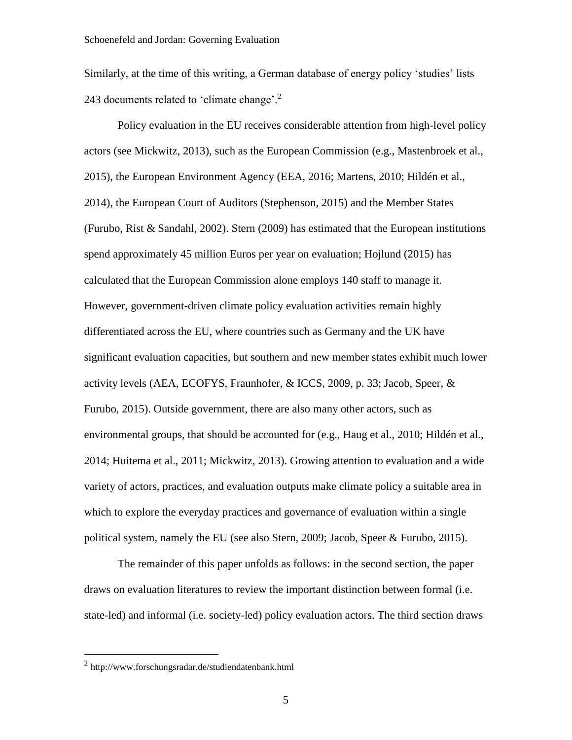Similarly, at the time of this writing, a German database of energy policy 'studies' lists 243 documents related to 'climate change'.<sup>2</sup>

Policy evaluation in the EU receives considerable attention from high-level policy actors (see Mickwitz, 2013), such as the European Commission (e.g., Mastenbroek et al., 2015), the European Environment Agency (EEA, 2016; Martens, 2010; Hildén et al., 2014), the European Court of Auditors (Stephenson, 2015) and the Member States (Furubo, Rist & Sandahl, 2002). Stern (2009) has estimated that the European institutions spend approximately 45 million Euros per year on evaluation; Hojlund (2015) has calculated that the European Commission alone employs 140 staff to manage it. However, government-driven climate policy evaluation activities remain highly differentiated across the EU, where countries such as Germany and the UK have significant evaluation capacities, but southern and new member states exhibit much lower activity levels (AEA, ECOFYS, Fraunhofer, & ICCS, 2009, p. 33; Jacob, Speer, & Furubo, 2015). Outside government, there are also many other actors, such as environmental groups, that should be accounted for (e.g., Haug et al., 2010; Hildén et al., 2014; Huitema et al., 2011; Mickwitz, 2013). Growing attention to evaluation and a wide variety of actors, practices, and evaluation outputs make climate policy a suitable area in which to explore the everyday practices and governance of evaluation within a single political system, namely the EU (see also Stern, 2009; Jacob, Speer & Furubo, 2015).

The remainder of this paper unfolds as follows: in the second section, the paper draws on evaluation literatures to review the important distinction between formal (i.e. state-led) and informal (i.e. society-led) policy evaluation actors. The third section draws

<sup>2</sup> http://www.forschungsradar.de/studiendatenbank.html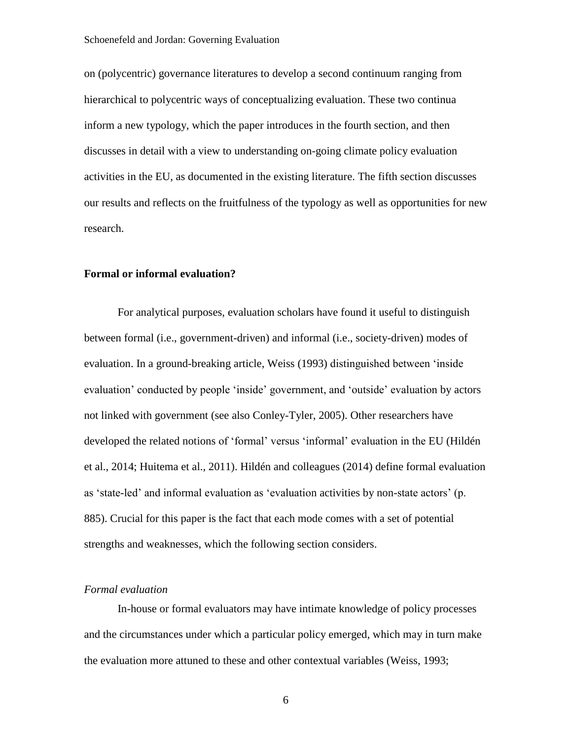on (polycentric) governance literatures to develop a second continuum ranging from hierarchical to polycentric ways of conceptualizing evaluation. These two continua inform a new typology, which the paper introduces in the fourth section, and then discusses in detail with a view to understanding on-going climate policy evaluation activities in the EU, as documented in the existing literature. The fifth section discusses our results and reflects on the fruitfulness of the typology as well as opportunities for new research.

### **Formal or informal evaluation?**

For analytical purposes, evaluation scholars have found it useful to distinguish between formal (i.e., government-driven) and informal (i.e., society-driven) modes of evaluation. In a ground-breaking article, Weiss (1993) distinguished between 'inside evaluation' conducted by people 'inside' government, and 'outside' evaluation by actors not linked with government (see also Conley-Tyler, 2005). Other researchers have developed the related notions of 'formal' versus 'informal' evaluation in the EU (Hildén et al., 2014; Huitema et al., 2011). Hildén and colleagues (2014) define formal evaluation as 'state-led' and informal evaluation as 'evaluation activities by non-state actors' (p. 885). Crucial for this paper is the fact that each mode comes with a set of potential strengths and weaknesses, which the following section considers.

### *Formal evaluation*

In-house or formal evaluators may have intimate knowledge of policy processes and the circumstances under which a particular policy emerged, which may in turn make the evaluation more attuned to these and other contextual variables (Weiss, 1993;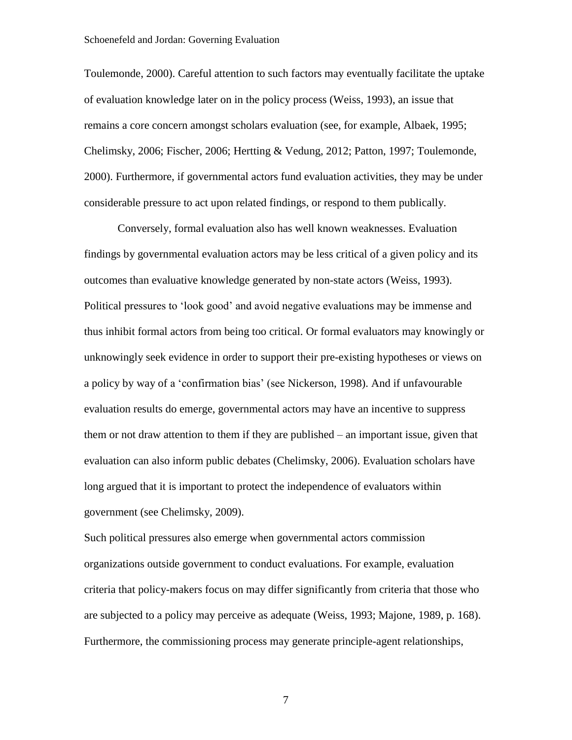Toulemonde, 2000). Careful attention to such factors may eventually facilitate the uptake of evaluation knowledge later on in the policy process (Weiss, 1993), an issue that remains a core concern amongst scholars evaluation (see, for example, Albaek, 1995; Chelimsky, 2006; Fischer, 2006; Hertting & Vedung, 2012; Patton, 1997; Toulemonde, 2000). Furthermore, if governmental actors fund evaluation activities, they may be under considerable pressure to act upon related findings, or respond to them publically.

Conversely, formal evaluation also has well known weaknesses. Evaluation findings by governmental evaluation actors may be less critical of a given policy and its outcomes than evaluative knowledge generated by non-state actors (Weiss, 1993). Political pressures to 'look good' and avoid negative evaluations may be immense and thus inhibit formal actors from being too critical. Or formal evaluators may knowingly or unknowingly seek evidence in order to support their pre-existing hypotheses or views on a policy by way of a 'confirmation bias' (see Nickerson, 1998). And if unfavourable evaluation results do emerge, governmental actors may have an incentive to suppress them or not draw attention to them if they are published – an important issue, given that evaluation can also inform public debates (Chelimsky, 2006). Evaluation scholars have long argued that it is important to protect the independence of evaluators within government (see Chelimsky, 2009).

Such political pressures also emerge when governmental actors commission organizations outside government to conduct evaluations. For example, evaluation criteria that policy-makers focus on may differ significantly from criteria that those who are subjected to a policy may perceive as adequate (Weiss, 1993; Majone, 1989, p. 168). Furthermore, the commissioning process may generate principle-agent relationships,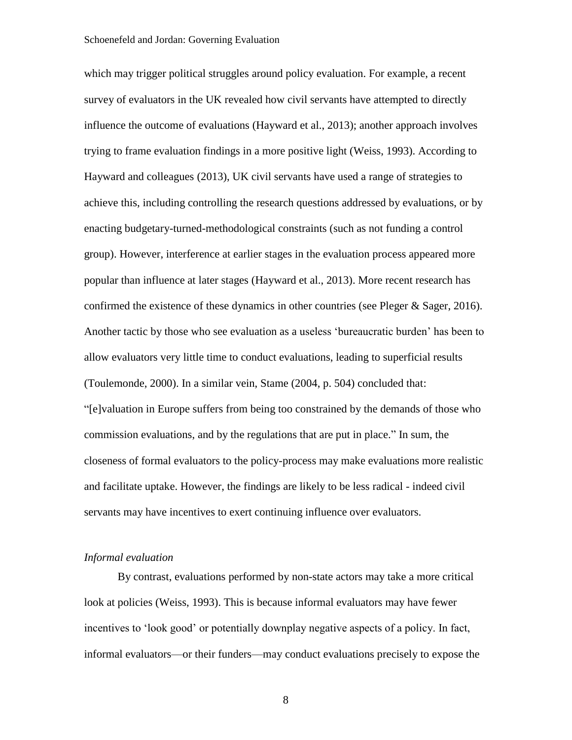which may trigger political struggles around policy evaluation. For example, a recent survey of evaluators in the UK revealed how civil servants have attempted to directly influence the outcome of evaluations (Hayward et al., 2013); another approach involves trying to frame evaluation findings in a more positive light (Weiss, 1993). According to Hayward and colleagues (2013), UK civil servants have used a range of strategies to achieve this, including controlling the research questions addressed by evaluations, or by enacting budgetary-turned-methodological constraints (such as not funding a control group). However, interference at earlier stages in the evaluation process appeared more popular than influence at later stages (Hayward et al., 2013). More recent research has confirmed the existence of these dynamics in other countries (see Pleger & Sager, 2016). Another tactic by those who see evaluation as a useless 'bureaucratic burden' has been to allow evaluators very little time to conduct evaluations, leading to superficial results (Toulemonde, 2000). In a similar vein, Stame (2004, p. 504) concluded that: "[e]valuation in Europe suffers from being too constrained by the demands of those who commission evaluations, and by the regulations that are put in place." In sum, the closeness of formal evaluators to the policy-process may make evaluations more realistic and facilitate uptake. However, the findings are likely to be less radical - indeed civil servants may have incentives to exert continuing influence over evaluators.

## *Informal evaluation*

By contrast, evaluations performed by non-state actors may take a more critical look at policies (Weiss, 1993). This is because informal evaluators may have fewer incentives to 'look good' or potentially downplay negative aspects of a policy. In fact, informal evaluators—or their funders—may conduct evaluations precisely to expose the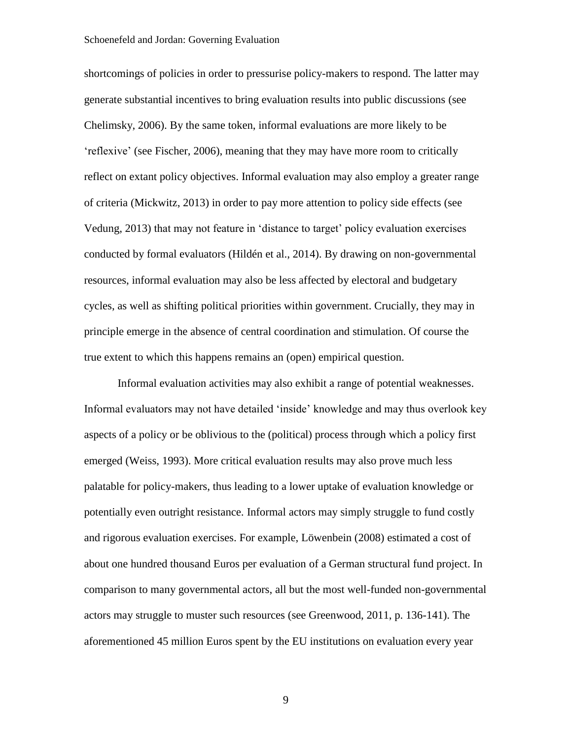shortcomings of policies in order to pressurise policy-makers to respond. The latter may generate substantial incentives to bring evaluation results into public discussions (see Chelimsky, 2006). By the same token, informal evaluations are more likely to be 'reflexive' (see Fischer, 2006), meaning that they may have more room to critically reflect on extant policy objectives. Informal evaluation may also employ a greater range of criteria (Mickwitz, 2013) in order to pay more attention to policy side effects (see Vedung, 2013) that may not feature in 'distance to target' policy evaluation exercises conducted by formal evaluators (Hildén et al., 2014). By drawing on non-governmental resources, informal evaluation may also be less affected by electoral and budgetary cycles, as well as shifting political priorities within government. Crucially, they may in principle emerge in the absence of central coordination and stimulation. Of course the true extent to which this happens remains an (open) empirical question.

Informal evaluation activities may also exhibit a range of potential weaknesses. Informal evaluators may not have detailed 'inside' knowledge and may thus overlook key aspects of a policy or be oblivious to the (political) process through which a policy first emerged (Weiss, 1993). More critical evaluation results may also prove much less palatable for policy-makers, thus leading to a lower uptake of evaluation knowledge or potentially even outright resistance. Informal actors may simply struggle to fund costly and rigorous evaluation exercises. For example, Löwenbein (2008) estimated a cost of about one hundred thousand Euros per evaluation of a German structural fund project. In comparison to many governmental actors, all but the most well-funded non-governmental actors may struggle to muster such resources (see Greenwood, 2011, p. 136-141). The aforementioned 45 million Euros spent by the EU institutions on evaluation every year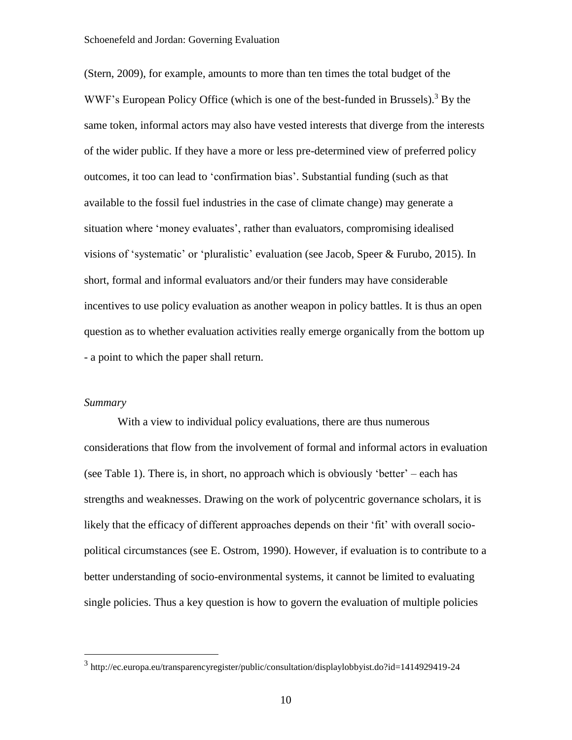(Stern, 2009), for example, amounts to more than ten times the total budget of the WWF's European Policy Office (which is one of the best-funded in Brussels).<sup>3</sup> By the same token, informal actors may also have vested interests that diverge from the interests of the wider public. If they have a more or less pre-determined view of preferred policy outcomes, it too can lead to 'confirmation bias'. Substantial funding (such as that available to the fossil fuel industries in the case of climate change) may generate a situation where 'money evaluates', rather than evaluators, compromising idealised visions of 'systematic' or 'pluralistic' evaluation (see Jacob, Speer & Furubo, 2015). In short, formal and informal evaluators and/or their funders may have considerable incentives to use policy evaluation as another weapon in policy battles. It is thus an open question as to whether evaluation activities really emerge organically from the bottom up - a point to which the paper shall return.

### *Summary*

 $\overline{a}$ 

With a view to individual policy evaluations, there are thus numerous considerations that flow from the involvement of formal and informal actors in evaluation (see Table 1). There is, in short, no approach which is obviously 'better' – each has strengths and weaknesses. Drawing on the work of polycentric governance scholars, it is likely that the efficacy of different approaches depends on their 'fit' with overall sociopolitical circumstances (see E. Ostrom, 1990). However, if evaluation is to contribute to a better understanding of socio-environmental systems, it cannot be limited to evaluating single policies. Thus a key question is how to govern the evaluation of multiple policies

<sup>3</sup> http://ec.europa.eu/transparencyregister/public/consultation/displaylobbyist.do?id=1414929419-24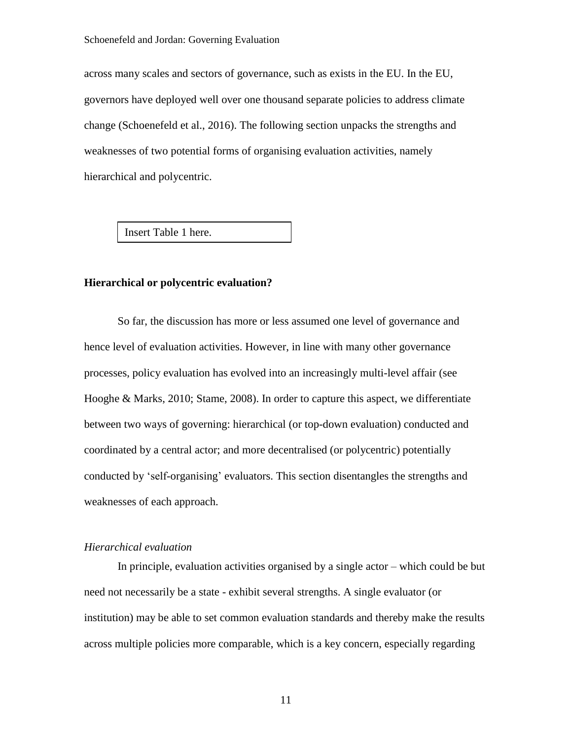across many scales and sectors of governance, such as exists in the EU. In the EU, governors have deployed well over one thousand separate policies to address climate change (Schoenefeld et al., 2016). The following section unpacks the strengths and weaknesses of two potential forms of organising evaluation activities, namely hierarchical and polycentric.

Insert Table 1 here.

### **Hierarchical or polycentric evaluation?**

So far, the discussion has more or less assumed one level of governance and hence level of evaluation activities. However, in line with many other governance processes, policy evaluation has evolved into an increasingly multi-level affair (see Hooghe & Marks, 2010; Stame, 2008). In order to capture this aspect, we differentiate between two ways of governing: hierarchical (or top-down evaluation) conducted and coordinated by a central actor; and more decentralised (or polycentric) potentially conducted by 'self-organising' evaluators. This section disentangles the strengths and weaknesses of each approach.

### *Hierarchical evaluation*

In principle, evaluation activities organised by a single actor – which could be but need not necessarily be a state - exhibit several strengths. A single evaluator (or institution) may be able to set common evaluation standards and thereby make the results across multiple policies more comparable, which is a key concern, especially regarding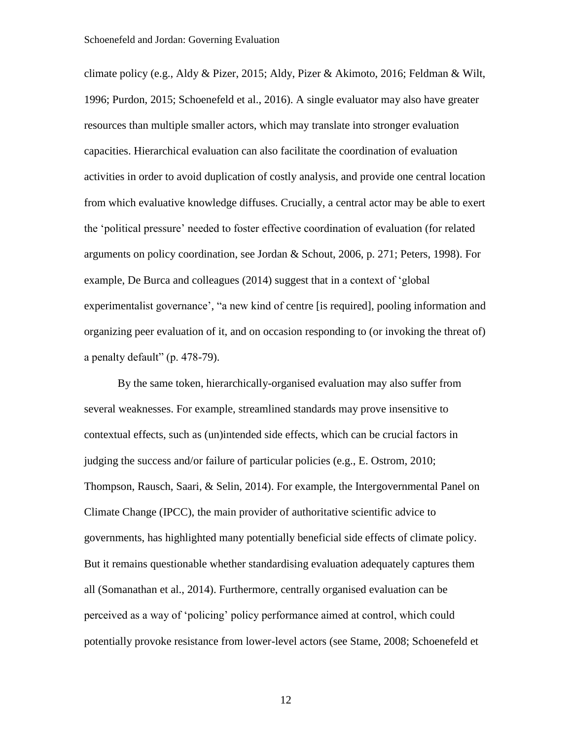climate policy (e.g., Aldy & Pizer, 2015; Aldy, Pizer & Akimoto, 2016; Feldman & Wilt, 1996; Purdon, 2015; Schoenefeld et al., 2016). A single evaluator may also have greater resources than multiple smaller actors, which may translate into stronger evaluation capacities. Hierarchical evaluation can also facilitate the coordination of evaluation activities in order to avoid duplication of costly analysis, and provide one central location from which evaluative knowledge diffuses. Crucially, a central actor may be able to exert the 'political pressure' needed to foster effective coordination of evaluation (for related arguments on policy coordination, see Jordan & Schout, 2006, p. 271; Peters, 1998). For example, De Burca and colleagues (2014) suggest that in a context of 'global experimentalist governance', "a new kind of centre [is required], pooling information and organizing peer evaluation of it, and on occasion responding to (or invoking the threat of) a penalty default" (p. 478-79).

By the same token, hierarchically-organised evaluation may also suffer from several weaknesses. For example, streamlined standards may prove insensitive to contextual effects, such as (un)intended side effects, which can be crucial factors in judging the success and/or failure of particular policies (e.g., E. Ostrom, 2010; Thompson, Rausch, Saari, & Selin, 2014). For example, the Intergovernmental Panel on Climate Change (IPCC), the main provider of authoritative scientific advice to governments, has highlighted many potentially beneficial side effects of climate policy. But it remains questionable whether standardising evaluation adequately captures them all (Somanathan et al., 2014). Furthermore, centrally organised evaluation can be perceived as a way of 'policing' policy performance aimed at control, which could potentially provoke resistance from lower-level actors (see Stame, 2008; Schoenefeld et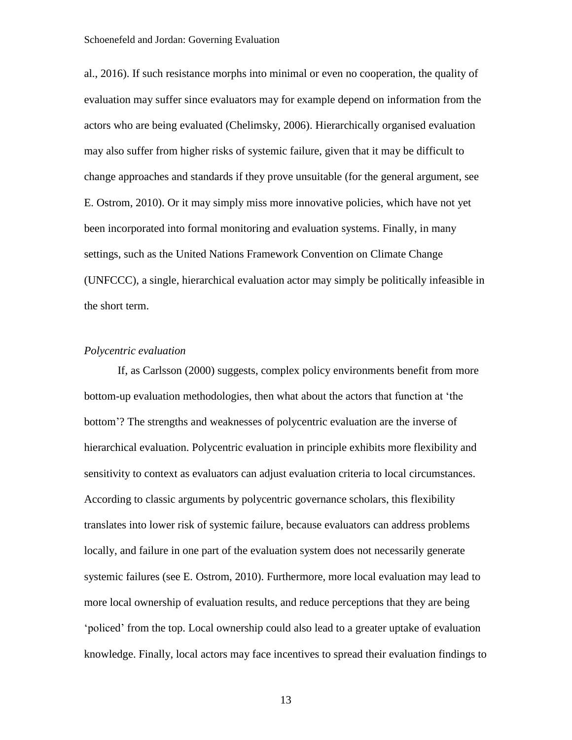al., 2016). If such resistance morphs into minimal or even no cooperation, the quality of evaluation may suffer since evaluators may for example depend on information from the actors who are being evaluated (Chelimsky, 2006). Hierarchically organised evaluation may also suffer from higher risks of systemic failure, given that it may be difficult to change approaches and standards if they prove unsuitable (for the general argument, see E. Ostrom, 2010). Or it may simply miss more innovative policies, which have not yet been incorporated into formal monitoring and evaluation systems. Finally, in many settings, such as the United Nations Framework Convention on Climate Change (UNFCCC), a single, hierarchical evaluation actor may simply be politically infeasible in the short term.

### *Polycentric evaluation*

If, as Carlsson (2000) suggests, complex policy environments benefit from more bottom-up evaluation methodologies, then what about the actors that function at 'the bottom'? The strengths and weaknesses of polycentric evaluation are the inverse of hierarchical evaluation. Polycentric evaluation in principle exhibits more flexibility and sensitivity to context as evaluators can adjust evaluation criteria to local circumstances. According to classic arguments by polycentric governance scholars, this flexibility translates into lower risk of systemic failure, because evaluators can address problems locally, and failure in one part of the evaluation system does not necessarily generate systemic failures (see E. Ostrom, 2010). Furthermore, more local evaluation may lead to more local ownership of evaluation results, and reduce perceptions that they are being 'policed' from the top. Local ownership could also lead to a greater uptake of evaluation knowledge. Finally, local actors may face incentives to spread their evaluation findings to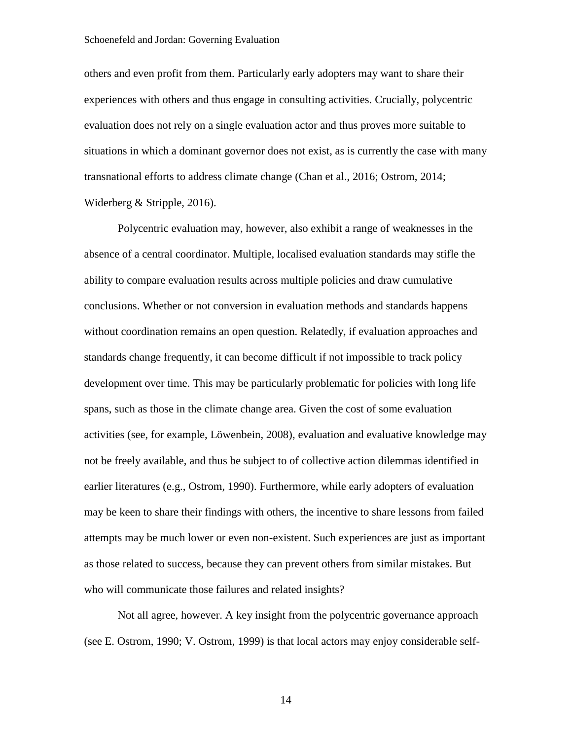others and even profit from them. Particularly early adopters may want to share their experiences with others and thus engage in consulting activities. Crucially, polycentric evaluation does not rely on a single evaluation actor and thus proves more suitable to situations in which a dominant governor does not exist, as is currently the case with many transnational efforts to address climate change (Chan et al., 2016; Ostrom, 2014; Widerberg & Stripple, 2016).

Polycentric evaluation may, however, also exhibit a range of weaknesses in the absence of a central coordinator. Multiple, localised evaluation standards may stifle the ability to compare evaluation results across multiple policies and draw cumulative conclusions. Whether or not conversion in evaluation methods and standards happens without coordination remains an open question. Relatedly, if evaluation approaches and standards change frequently, it can become difficult if not impossible to track policy development over time. This may be particularly problematic for policies with long life spans, such as those in the climate change area. Given the cost of some evaluation activities (see, for example, Löwenbein, 2008), evaluation and evaluative knowledge may not be freely available, and thus be subject to of collective action dilemmas identified in earlier literatures (e.g., Ostrom, 1990). Furthermore, while early adopters of evaluation may be keen to share their findings with others, the incentive to share lessons from failed attempts may be much lower or even non-existent. Such experiences are just as important as those related to success, because they can prevent others from similar mistakes. But who will communicate those failures and related insights?

Not all agree, however. A key insight from the polycentric governance approach (see E. Ostrom, 1990; V. Ostrom, 1999) is that local actors may enjoy considerable self-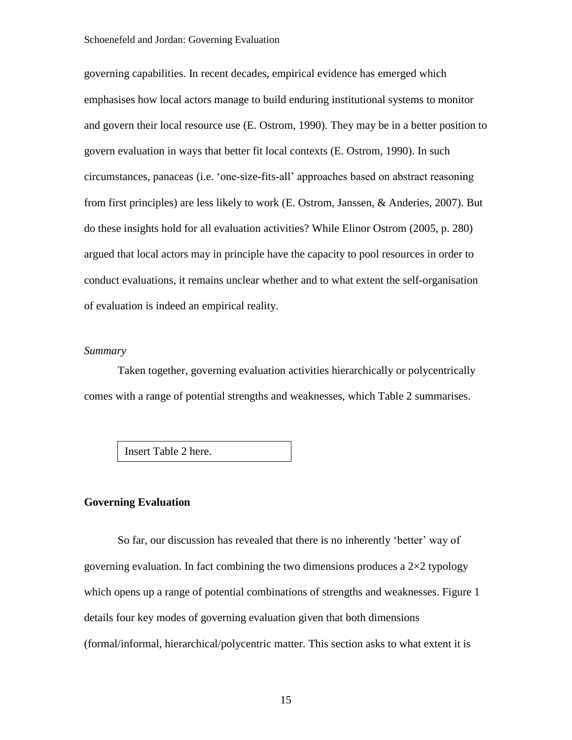governing capabilities. In recent decades, empirical evidence has emerged which emphasises how local actors manage to build enduring institutional systems to monitor and govern their local resource use (E. Ostrom, 1990). They may be in a better position to govern evaluation in ways that better fit local contexts (E. Ostrom, 1990). In such circumstances, panaceas (i.e. 'one-size-fits-all' approaches based on abstract reasoning from first principles) are less likely to work (E. Ostrom, Janssen, & Anderies, 2007). But do these insights hold for all evaluation activities? While Elinor Ostrom (2005, p. 280) argued that local actors may in principle have the capacity to pool resources in order to conduct evaluations, it remains unclear whether and to what extent the self-organisation of evaluation is indeed an empirical reality.

### *Summary*

Taken together, governing evaluation activities hierarchically or polycentrically comes with a range of potential strengths and weaknesses, which Table 2 summarises.

Insert Table 2 here.

### **Governing Evaluation**

So far, our discussion has revealed that there is no inherently 'better' way of governing evaluation. In fact combining the two dimensions produces a  $2\times2$  typology which opens up a range of potential combinations of strengths and weaknesses. Figure 1 details four key modes of governing evaluation given that both dimensions (formal/informal, hierarchical/polycentric matter. This section asks to what extent it is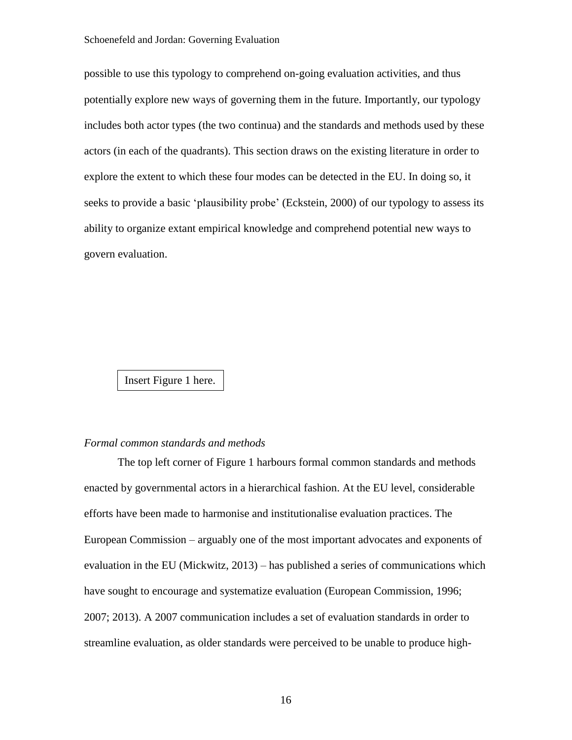possible to use this typology to comprehend on-going evaluation activities, and thus potentially explore new ways of governing them in the future. Importantly, our typology includes both actor types (the two continua) and the standards and methods used by these actors (in each of the quadrants). This section draws on the existing literature in order to explore the extent to which these four modes can be detected in the EU. In doing so, it seeks to provide a basic 'plausibility probe' (Eckstein, 2000) of our typology to assess its ability to organize extant empirical knowledge and comprehend potential new ways to govern evaluation.

Insert Figure 1 here.

### *Formal common standards and methods*

The top left corner of Figure 1 harbours formal common standards and methods enacted by governmental actors in a hierarchical fashion. At the EU level, considerable efforts have been made to harmonise and institutionalise evaluation practices. The European Commission – arguably one of the most important advocates and exponents of evaluation in the EU (Mickwitz, 2013) – has published a series of communications which have sought to encourage and systematize evaluation (European Commission, 1996; 2007; 2013). A 2007 communication includes a set of evaluation standards in order to streamline evaluation, as older standards were perceived to be unable to produce high-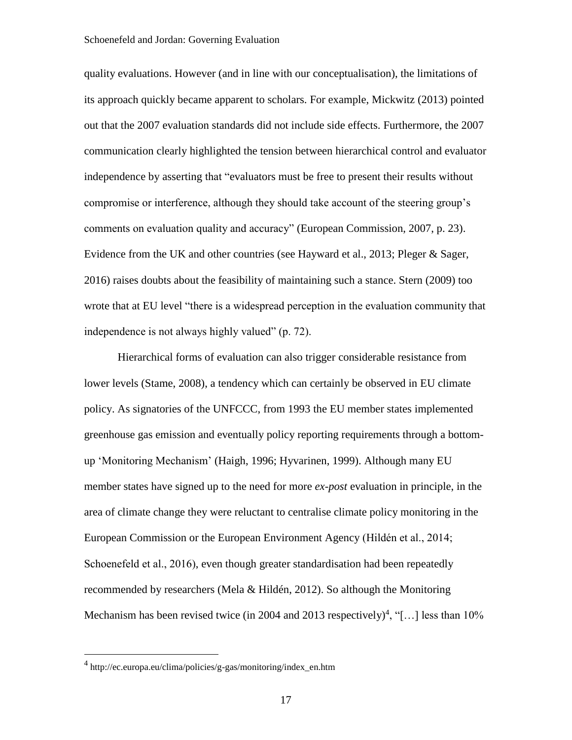quality evaluations. However (and in line with our conceptualisation), the limitations of its approach quickly became apparent to scholars. For example, Mickwitz (2013) pointed out that the 2007 evaluation standards did not include side effects. Furthermore, the 2007 communication clearly highlighted the tension between hierarchical control and evaluator independence by asserting that "evaluators must be free to present their results without compromise or interference, although they should take account of the steering group's comments on evaluation quality and accuracy" (European Commission, 2007, p. 23). Evidence from the UK and other countries (see Hayward et al., 2013; Pleger & Sager, 2016) raises doubts about the feasibility of maintaining such a stance. Stern (2009) too wrote that at EU level "there is a widespread perception in the evaluation community that independence is not always highly valued" (p. 72).

Hierarchical forms of evaluation can also trigger considerable resistance from lower levels (Stame, 2008), a tendency which can certainly be observed in EU climate policy. As signatories of the UNFCCC, from 1993 the EU member states implemented greenhouse gas emission and eventually policy reporting requirements through a bottomup 'Monitoring Mechanism' (Haigh, 1996; Hyvarinen, 1999). Although many EU member states have signed up to the need for more *ex-post* evaluation in principle, in the area of climate change they were reluctant to centralise climate policy monitoring in the European Commission or the European Environment Agency (Hildén et al., 2014; Schoenefeld et al., 2016), even though greater standardisation had been repeatedly recommended by researchers (Mela & Hildén, 2012). So although the Monitoring Mechanism has been revised twice (in 2004 and 2013 respectively)<sup>4</sup>, "[...] less than  $10\%$ 

<sup>4</sup> http://ec.europa.eu/clima/policies/g-gas/monitoring/index\_en.htm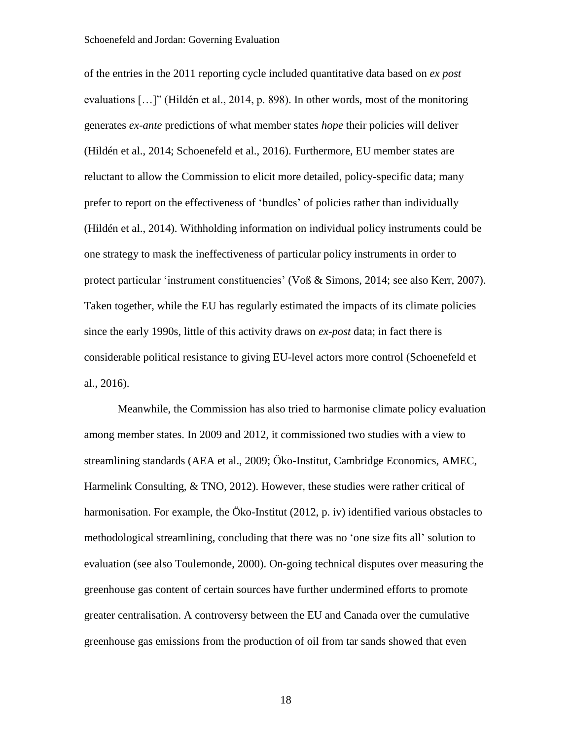of the entries in the 2011 reporting cycle included quantitative data based on *ex post* evaluations […]" (Hildén et al., 2014, p. 898). In other words, most of the monitoring generates *ex-ante* predictions of what member states *hope* their policies will deliver (Hildén et al., 2014; Schoenefeld et al., 2016). Furthermore, EU member states are reluctant to allow the Commission to elicit more detailed, policy-specific data; many prefer to report on the effectiveness of 'bundles' of policies rather than individually (Hildén et al., 2014). Withholding information on individual policy instruments could be one strategy to mask the ineffectiveness of particular policy instruments in order to protect particular 'instrument constituencies' (Voß & Simons, 2014; see also Kerr, 2007). Taken together, while the EU has regularly estimated the impacts of its climate policies since the early 1990s, little of this activity draws on *ex-post* data; in fact there is considerable political resistance to giving EU-level actors more control (Schoenefeld et al., 2016).

Meanwhile, the Commission has also tried to harmonise climate policy evaluation among member states. In 2009 and 2012, it commissioned two studies with a view to streamlining standards (AEA et al., 2009; Öko-Institut, Cambridge Economics, AMEC, Harmelink Consulting, & TNO, 2012). However, these studies were rather critical of harmonisation. For example, the Öko-Institut (2012, p. iv) identified various obstacles to methodological streamlining, concluding that there was no 'one size fits all' solution to evaluation (see also Toulemonde, 2000). On-going technical disputes over measuring the greenhouse gas content of certain sources have further undermined efforts to promote greater centralisation. A controversy between the EU and Canada over the cumulative greenhouse gas emissions from the production of oil from tar sands showed that even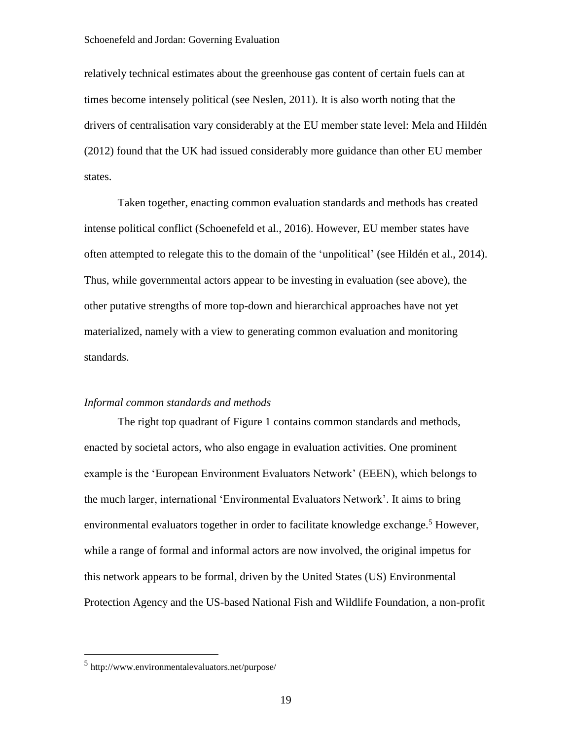relatively technical estimates about the greenhouse gas content of certain fuels can at times become intensely political (see Neslen, 2011). It is also worth noting that the drivers of centralisation vary considerably at the EU member state level: Mela and Hildén (2012) found that the UK had issued considerably more guidance than other EU member states.

Taken together, enacting common evaluation standards and methods has created intense political conflict (Schoenefeld et al., 2016). However, EU member states have often attempted to relegate this to the domain of the 'unpolitical' (see Hildén et al., 2014). Thus, while governmental actors appear to be investing in evaluation (see above), the other putative strengths of more top-down and hierarchical approaches have not yet materialized, namely with a view to generating common evaluation and monitoring standards.

### *Informal common standards and methods*

The right top quadrant of Figure 1 contains common standards and methods, enacted by societal actors, who also engage in evaluation activities. One prominent example is the 'European Environment Evaluators Network' (EEEN), which belongs to the much larger, international 'Environmental Evaluators Network'. It aims to bring environmental evaluators together in order to facilitate knowledge exchange.<sup>5</sup> However, while a range of formal and informal actors are now involved, the original impetus for this network appears to be formal, driven by the United States (US) Environmental Protection Agency and the US-based National Fish and Wildlife Foundation, a non-profit

<sup>5</sup> http://www.environmentalevaluators.net/purpose/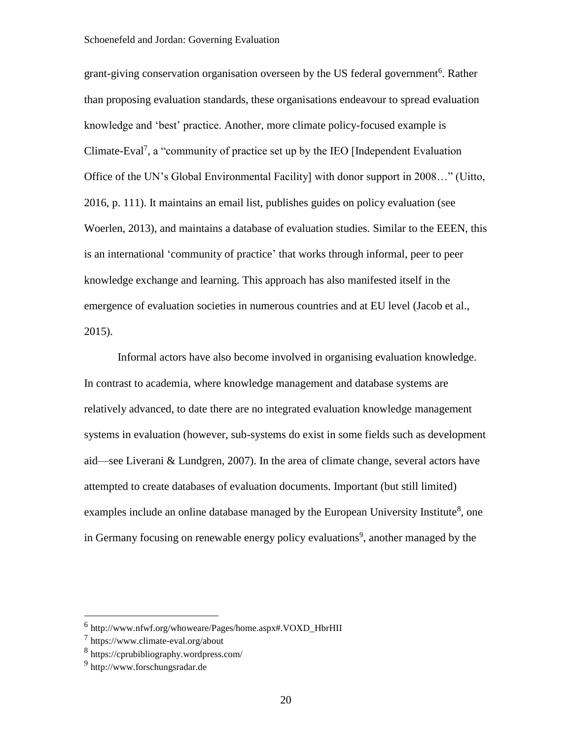grant-giving conservation organisation overseen by the US federal government<sup>6</sup>. Rather than proposing evaluation standards, these organisations endeavour to spread evaluation knowledge and 'best' practice. Another, more climate policy-focused example is Climate-Eval<sup>7</sup>, a "community of practice set up by the IEO [Independent Evaluation Office of the UN's Global Environmental Facility] with donor support in 2008…" (Uitto, 2016, p. 111). It maintains an email list, publishes guides on policy evaluation (see Woerlen, 2013), and maintains a database of evaluation studies. Similar to the EEEN, this is an international 'community of practice' that works through informal, peer to peer knowledge exchange and learning. This approach has also manifested itself in the emergence of evaluation societies in numerous countries and at EU level (Jacob et al., 2015).

Informal actors have also become involved in organising evaluation knowledge. In contrast to academia, where knowledge management and database systems are relatively advanced, to date there are no integrated evaluation knowledge management systems in evaluation (however, sub-systems do exist in some fields such as development aid—see Liverani & Lundgren, 2007). In the area of climate change, several actors have attempted to create databases of evaluation documents. Important (but still limited) examples include an online database managed by the European University Institute<sup>8</sup>, one in Germany focusing on renewable energy policy evaluations<sup>9</sup>, another managed by the

<sup>6</sup> http://www.nfwf.org/whoweare/Pages/home.aspx#.VOXD\_HbrHII

<sup>7</sup> https://www.climate-eval.org/about

<sup>8</sup> https://cprubibliography.wordpress.com/

<sup>&</sup>lt;sup>9</sup> http://www.forschungsradar.de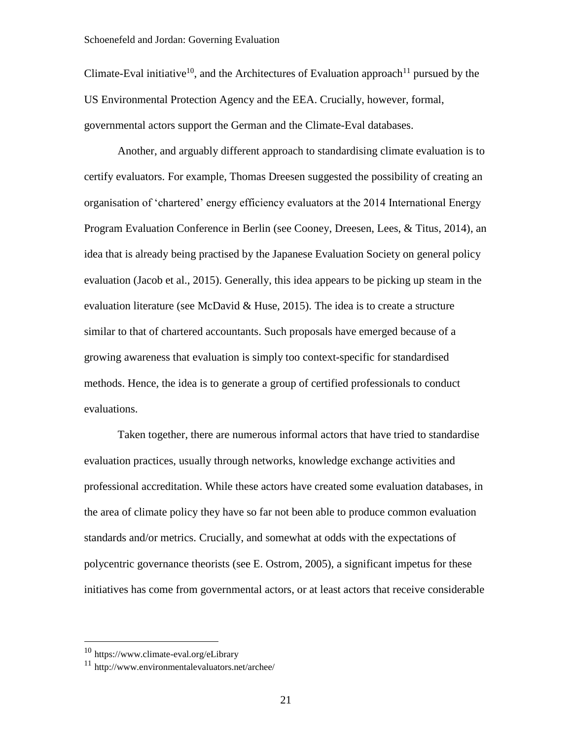Climate-Eval initiative<sup>10</sup>, and the Architectures of Evaluation approach<sup>11</sup> pursued by the US Environmental Protection Agency and the EEA. Crucially, however, formal, governmental actors support the German and the Climate-Eval databases.

Another, and arguably different approach to standardising climate evaluation is to certify evaluators. For example, Thomas Dreesen suggested the possibility of creating an organisation of 'chartered' energy efficiency evaluators at the 2014 International Energy Program Evaluation Conference in Berlin (see Cooney, Dreesen, Lees, & Titus, 2014), an idea that is already being practised by the Japanese Evaluation Society on general policy evaluation (Jacob et al., 2015). Generally, this idea appears to be picking up steam in the evaluation literature (see McDavid & Huse, 2015). The idea is to create a structure similar to that of chartered accountants. Such proposals have emerged because of a growing awareness that evaluation is simply too context-specific for standardised methods. Hence, the idea is to generate a group of certified professionals to conduct evaluations.

Taken together, there are numerous informal actors that have tried to standardise evaluation practices, usually through networks, knowledge exchange activities and professional accreditation. While these actors have created some evaluation databases, in the area of climate policy they have so far not been able to produce common evaluation standards and/or metrics. Crucially, and somewhat at odds with the expectations of polycentric governance theorists (see E. Ostrom, 2005), a significant impetus for these initiatives has come from governmental actors, or at least actors that receive considerable

<sup>10</sup> https://www.climate-eval.org/eLibrary

<sup>11</sup> http://www.environmentalevaluators.net/archee/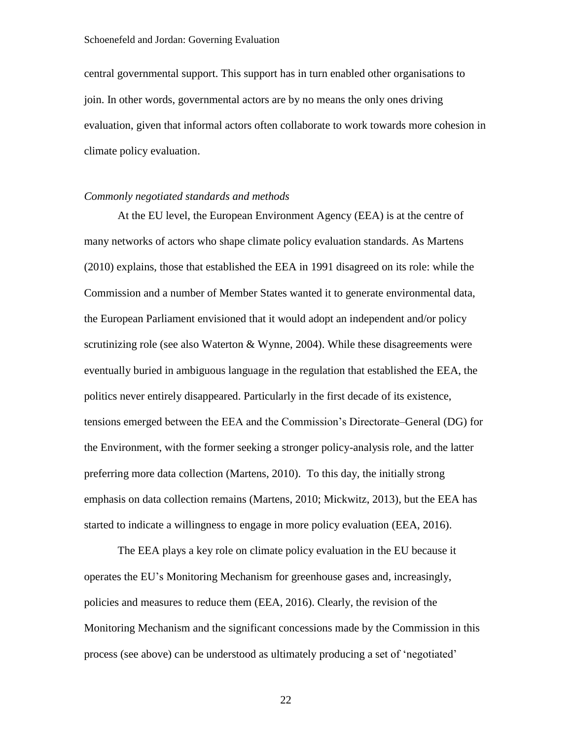central governmental support. This support has in turn enabled other organisations to join. In other words, governmental actors are by no means the only ones driving evaluation, given that informal actors often collaborate to work towards more cohesion in climate policy evaluation.

### *Commonly negotiated standards and methods*

At the EU level, the European Environment Agency (EEA) is at the centre of many networks of actors who shape climate policy evaluation standards. As Martens (2010) explains, those that established the EEA in 1991 disagreed on its role: while the Commission and a number of Member States wanted it to generate environmental data, the European Parliament envisioned that it would adopt an independent and/or policy scrutinizing role (see also Waterton & Wynne, 2004). While these disagreements were eventually buried in ambiguous language in the regulation that established the EEA, the politics never entirely disappeared. Particularly in the first decade of its existence, tensions emerged between the EEA and the Commission's Directorate–General (DG) for the Environment, with the former seeking a stronger policy-analysis role, and the latter preferring more data collection (Martens, 2010). To this day, the initially strong emphasis on data collection remains (Martens, 2010; Mickwitz, 2013), but the EEA has started to indicate a willingness to engage in more policy evaluation (EEA, 2016).

The EEA plays a key role on climate policy evaluation in the EU because it operates the EU's Monitoring Mechanism for greenhouse gases and, increasingly, policies and measures to reduce them (EEA, 2016). Clearly, the revision of the Monitoring Mechanism and the significant concessions made by the Commission in this process (see above) can be understood as ultimately producing a set of 'negotiated'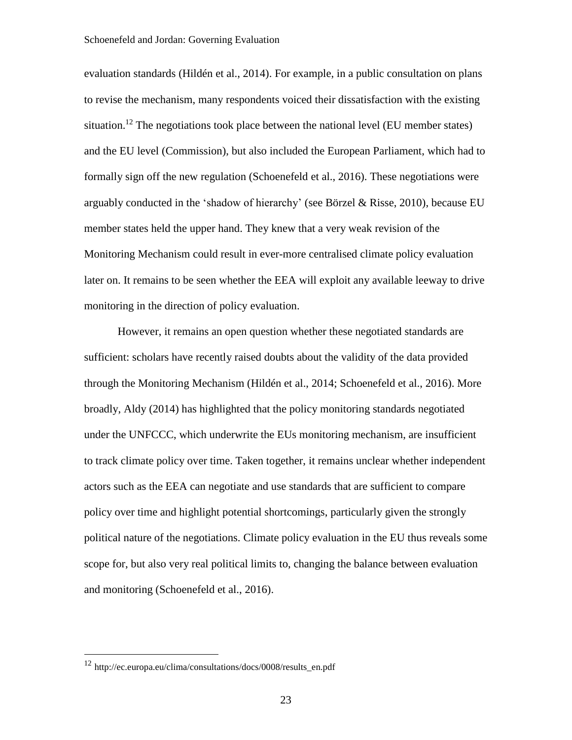evaluation standards (Hildén et al., 2014). For example, in a public consultation on plans to revise the mechanism, many respondents voiced their dissatisfaction with the existing situation.<sup>12</sup> The negotiations took place between the national level (EU member states) and the EU level (Commission), but also included the European Parliament, which had to formally sign off the new regulation (Schoenefeld et al., 2016). These negotiations were arguably conducted in the 'shadow of hierarchy' (see Börzel & Risse, 2010), because EU member states held the upper hand. They knew that a very weak revision of the Monitoring Mechanism could result in ever-more centralised climate policy evaluation later on. It remains to be seen whether the EEA will exploit any available leeway to drive monitoring in the direction of policy evaluation.

However, it remains an open question whether these negotiated standards are sufficient: scholars have recently raised doubts about the validity of the data provided through the Monitoring Mechanism (Hildén et al., 2014; Schoenefeld et al., 2016). More broadly, Aldy (2014) has highlighted that the policy monitoring standards negotiated under the UNFCCC, which underwrite the EUs monitoring mechanism, are insufficient to track climate policy over time. Taken together, it remains unclear whether independent actors such as the EEA can negotiate and use standards that are sufficient to compare policy over time and highlight potential shortcomings, particularly given the strongly political nature of the negotiations. Climate policy evaluation in the EU thus reveals some scope for, but also very real political limits to, changing the balance between evaluation and monitoring (Schoenefeld et al., 2016).

<sup>12</sup> http://ec.europa.eu/clima/consultations/docs/0008/results\_en.pdf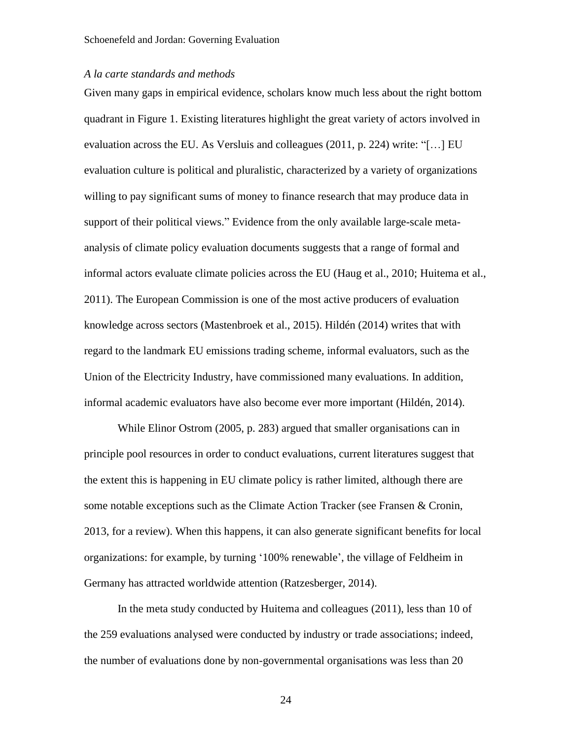### *A la carte standards and methods*

Given many gaps in empirical evidence, scholars know much less about the right bottom quadrant in Figure 1. Existing literatures highlight the great variety of actors involved in evaluation across the EU. As Versluis and colleagues (2011, p. 224) write: "[…] EU evaluation culture is political and pluralistic, characterized by a variety of organizations willing to pay significant sums of money to finance research that may produce data in support of their political views." Evidence from the only available large-scale metaanalysis of climate policy evaluation documents suggests that a range of formal and informal actors evaluate climate policies across the EU (Haug et al., 2010; Huitema et al., 2011). The European Commission is one of the most active producers of evaluation knowledge across sectors (Mastenbroek et al., 2015). Hildén (2014) writes that with regard to the landmark EU emissions trading scheme, informal evaluators, such as the Union of the Electricity Industry, have commissioned many evaluations. In addition, informal academic evaluators have also become ever more important (Hildén, 2014).

While Elinor Ostrom (2005, p. 283) argued that smaller organisations can in principle pool resources in order to conduct evaluations, current literatures suggest that the extent this is happening in EU climate policy is rather limited, although there are some notable exceptions such as the Climate Action Tracker (see Fransen & Cronin, 2013, for a review). When this happens, it can also generate significant benefits for local organizations: for example, by turning '100% renewable', the village of Feldheim in Germany has attracted worldwide attention (Ratzesberger, 2014).

In the meta study conducted by Huitema and colleagues (2011), less than 10 of the 259 evaluations analysed were conducted by industry or trade associations; indeed, the number of evaluations done by non-governmental organisations was less than 20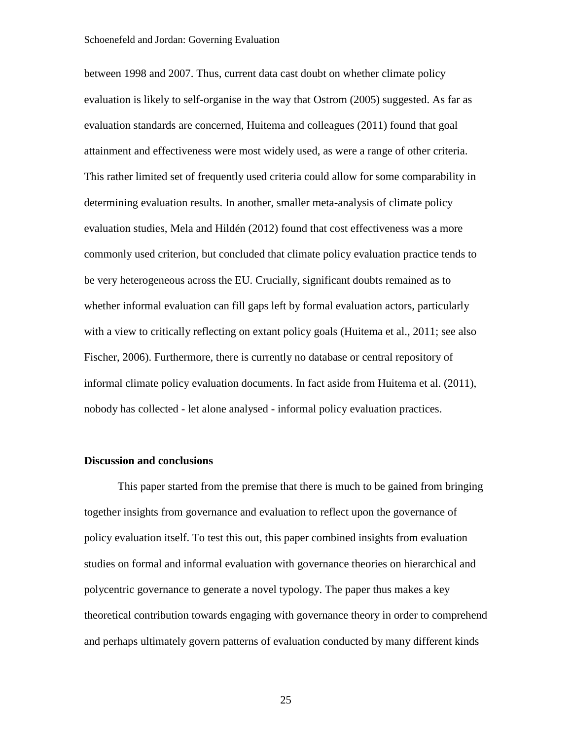between 1998 and 2007. Thus, current data cast doubt on whether climate policy evaluation is likely to self-organise in the way that Ostrom (2005) suggested. As far as evaluation standards are concerned, Huitema and colleagues (2011) found that goal attainment and effectiveness were most widely used, as were a range of other criteria. This rather limited set of frequently used criteria could allow for some comparability in determining evaluation results. In another, smaller meta-analysis of climate policy evaluation studies, Mela and Hildén (2012) found that cost effectiveness was a more commonly used criterion, but concluded that climate policy evaluation practice tends to be very heterogeneous across the EU. Crucially, significant doubts remained as to whether informal evaluation can fill gaps left by formal evaluation actors, particularly with a view to critically reflecting on extant policy goals (Huitema et al., 2011; see also Fischer, 2006). Furthermore, there is currently no database or central repository of informal climate policy evaluation documents. In fact aside from Huitema et al. (2011), nobody has collected - let alone analysed - informal policy evaluation practices.

### **Discussion and conclusions**

This paper started from the premise that there is much to be gained from bringing together insights from governance and evaluation to reflect upon the governance of policy evaluation itself. To test this out, this paper combined insights from evaluation studies on formal and informal evaluation with governance theories on hierarchical and polycentric governance to generate a novel typology. The paper thus makes a key theoretical contribution towards engaging with governance theory in order to comprehend and perhaps ultimately govern patterns of evaluation conducted by many different kinds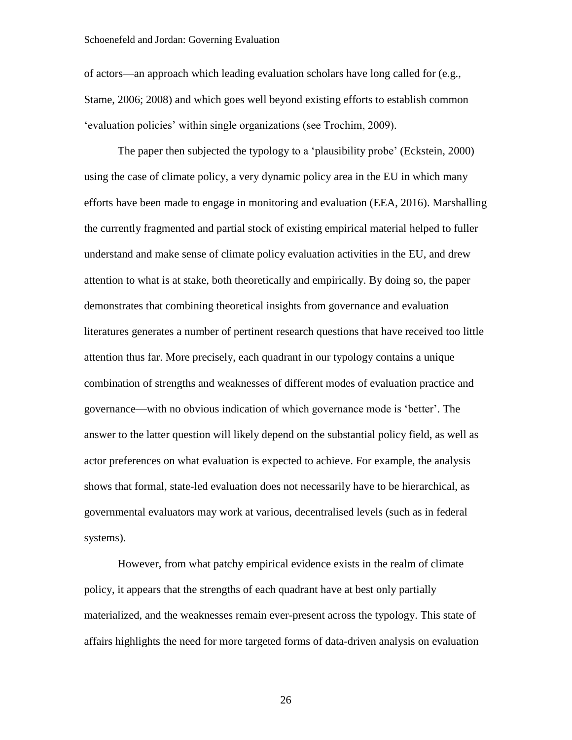of actors—an approach which leading evaluation scholars have long called for (e.g., Stame, 2006; 2008) and which goes well beyond existing efforts to establish common 'evaluation policies' within single organizations (see Trochim, 2009).

The paper then subjected the typology to a 'plausibility probe' (Eckstein, 2000) using the case of climate policy, a very dynamic policy area in the EU in which many efforts have been made to engage in monitoring and evaluation (EEA, 2016). Marshalling the currently fragmented and partial stock of existing empirical material helped to fuller understand and make sense of climate policy evaluation activities in the EU, and drew attention to what is at stake, both theoretically and empirically. By doing so, the paper demonstrates that combining theoretical insights from governance and evaluation literatures generates a number of pertinent research questions that have received too little attention thus far. More precisely, each quadrant in our typology contains a unique combination of strengths and weaknesses of different modes of evaluation practice and governance—with no obvious indication of which governance mode is 'better'. The answer to the latter question will likely depend on the substantial policy field, as well as actor preferences on what evaluation is expected to achieve. For example, the analysis shows that formal, state-led evaluation does not necessarily have to be hierarchical, as governmental evaluators may work at various, decentralised levels (such as in federal systems).

However, from what patchy empirical evidence exists in the realm of climate policy, it appears that the strengths of each quadrant have at best only partially materialized, and the weaknesses remain ever-present across the typology. This state of affairs highlights the need for more targeted forms of data-driven analysis on evaluation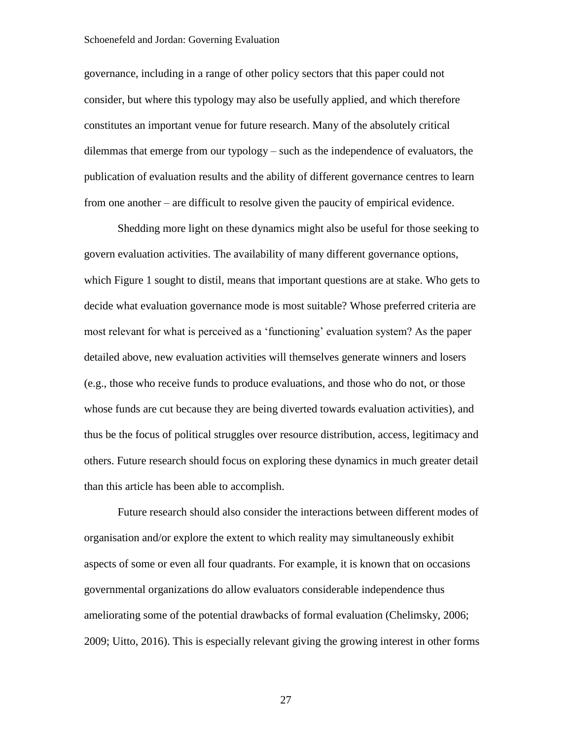governance, including in a range of other policy sectors that this paper could not consider, but where this typology may also be usefully applied, and which therefore constitutes an important venue for future research. Many of the absolutely critical dilemmas that emerge from our typology – such as the independence of evaluators, the publication of evaluation results and the ability of different governance centres to learn from one another – are difficult to resolve given the paucity of empirical evidence.

Shedding more light on these dynamics might also be useful for those seeking to govern evaluation activities. The availability of many different governance options, which Figure 1 sought to distil, means that important questions are at stake. Who gets to decide what evaluation governance mode is most suitable? Whose preferred criteria are most relevant for what is perceived as a 'functioning' evaluation system? As the paper detailed above, new evaluation activities will themselves generate winners and losers (e.g., those who receive funds to produce evaluations, and those who do not, or those whose funds are cut because they are being diverted towards evaluation activities), and thus be the focus of political struggles over resource distribution, access, legitimacy and others. Future research should focus on exploring these dynamics in much greater detail than this article has been able to accomplish.

Future research should also consider the interactions between different modes of organisation and/or explore the extent to which reality may simultaneously exhibit aspects of some or even all four quadrants. For example, it is known that on occasions governmental organizations do allow evaluators considerable independence thus ameliorating some of the potential drawbacks of formal evaluation (Chelimsky, 2006; 2009; Uitto, 2016). This is especially relevant giving the growing interest in other forms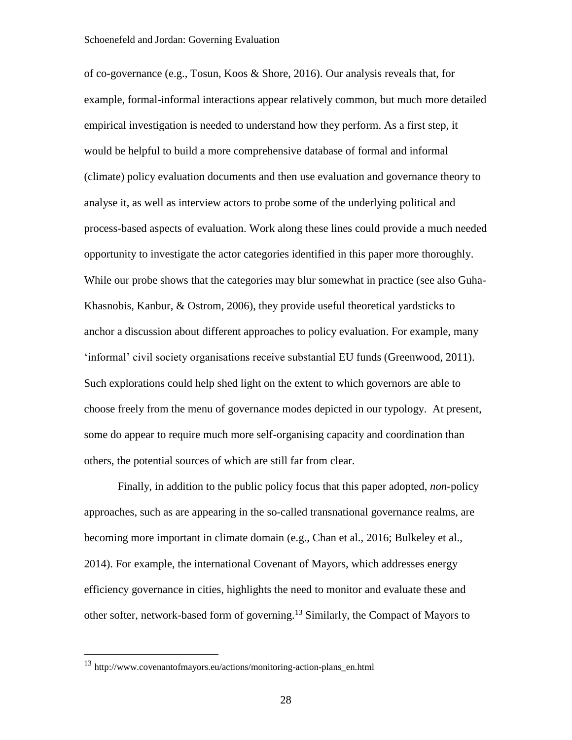of co-governance (e.g., Tosun, Koos & Shore, 2016). Our analysis reveals that, for example, formal-informal interactions appear relatively common, but much more detailed empirical investigation is needed to understand how they perform. As a first step, it would be helpful to build a more comprehensive database of formal and informal (climate) policy evaluation documents and then use evaluation and governance theory to analyse it, as well as interview actors to probe some of the underlying political and process-based aspects of evaluation. Work along these lines could provide a much needed opportunity to investigate the actor categories identified in this paper more thoroughly. While our probe shows that the categories may blur somewhat in practice (see also Guha-Khasnobis, Kanbur, & Ostrom, 2006), they provide useful theoretical yardsticks to anchor a discussion about different approaches to policy evaluation. For example, many 'informal' civil society organisations receive substantial EU funds (Greenwood, 2011). Such explorations could help shed light on the extent to which governors are able to choose freely from the menu of governance modes depicted in our typology. At present, some do appear to require much more self-organising capacity and coordination than others, the potential sources of which are still far from clear.

Finally, in addition to the public policy focus that this paper adopted, *non*-policy approaches, such as are appearing in the so-called transnational governance realms, are becoming more important in climate domain (e.g., Chan et al., 2016; Bulkeley et al., 2014). For example, the international Covenant of Mayors, which addresses energy efficiency governance in cities, highlights the need to monitor and evaluate these and other softer, network-based form of governing. <sup>13</sup> Similarly, the Compact of Mayors to

<sup>13</sup> http://www.covenantofmayors.eu/actions/monitoring-action-plans\_en.html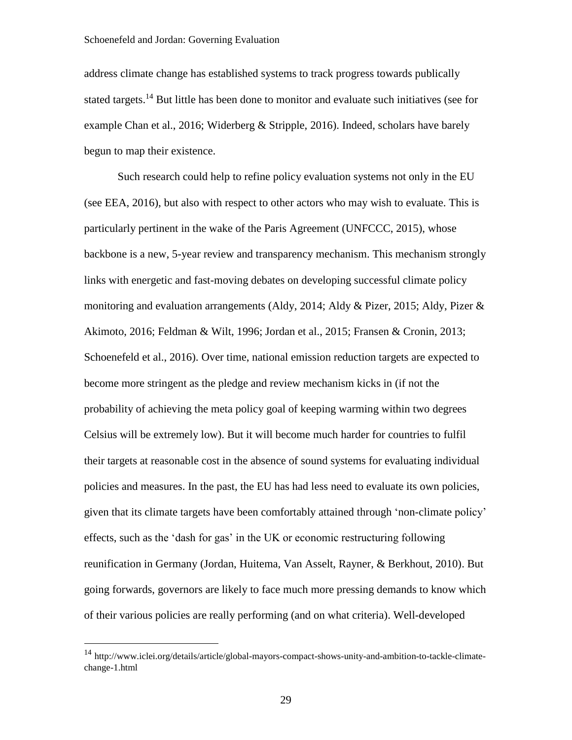address climate change has established systems to track progress towards publically stated targets.<sup>14</sup> But little has been done to monitor and evaluate such initiatives (see for example Chan et al., 2016; Widerberg & Stripple, 2016). Indeed, scholars have barely begun to map their existence.

Such research could help to refine policy evaluation systems not only in the EU (see EEA, 2016), but also with respect to other actors who may wish to evaluate. This is particularly pertinent in the wake of the Paris Agreement (UNFCCC, 2015), whose backbone is a new, 5-year review and transparency mechanism. This mechanism strongly links with energetic and fast-moving debates on developing successful climate policy monitoring and evaluation arrangements (Aldy, 2014; Aldy & Pizer, 2015; Aldy, Pizer  $\&$ Akimoto, 2016; Feldman & Wilt, 1996; Jordan et al., 2015; Fransen & Cronin, 2013; Schoenefeld et al., 2016). Over time, national emission reduction targets are expected to become more stringent as the pledge and review mechanism kicks in (if not the probability of achieving the meta policy goal of keeping warming within two degrees Celsius will be extremely low). But it will become much harder for countries to fulfil their targets at reasonable cost in the absence of sound systems for evaluating individual policies and measures. In the past, the EU has had less need to evaluate its own policies, given that its climate targets have been comfortably attained through 'non-climate policy' effects, such as the 'dash for gas' in the UK or economic restructuring following reunification in Germany (Jordan, Huitema, Van Asselt, Rayner, & Berkhout, 2010). But going forwards, governors are likely to face much more pressing demands to know which of their various policies are really performing (and on what criteria). Well-developed

<sup>14</sup> http://www.iclei.org/details/article/global-mayors-compact-shows-unity-and-ambition-to-tackle-climatechange-1.html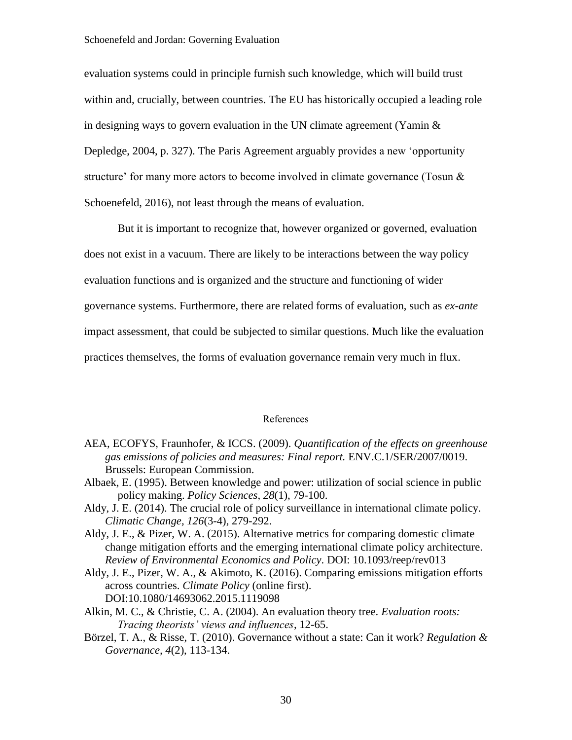evaluation systems could in principle furnish such knowledge, which will build trust within and, crucially, between countries. The EU has historically occupied a leading role in designing ways to govern evaluation in the UN climate agreement (Yamin  $\&$ Depledge, 2004, p. 327). The Paris Agreement arguably provides a new 'opportunity structure' for many more actors to become involved in climate governance (Tosun  $\&$ Schoenefeld, 2016), not least through the means of evaluation.

But it is important to recognize that, however organized or governed, evaluation does not exist in a vacuum. There are likely to be interactions between the way policy evaluation functions and is organized and the structure and functioning of wider governance systems. Furthermore, there are related forms of evaluation, such as *ex-ante* impact assessment, that could be subjected to similar questions. Much like the evaluation practices themselves, the forms of evaluation governance remain very much in flux.

### References

- AEA, ECOFYS, Fraunhofer, & ICCS. (2009). *Quantification of the effects on greenhouse gas emissions of policies and measures: Final report.* ENV.C.1/SER/2007/0019. Brussels: European Commission.
- Albaek, E. (1995). Between knowledge and power: utilization of social science in public policy making. *Policy Sciences*, *28*(1), 79-100.
- Aldy, J. E. (2014). The crucial role of policy surveillance in international climate policy. *Climatic Change, 126*(3-4), 279-292.
- Aldy, J. E., & Pizer, W. A. (2015). Alternative metrics for comparing domestic climate change mitigation efforts and the emerging international climate policy architecture. *Review of Environmental Economics and Policy*. DOI: 10.1093/reep/rev013
- Aldy, J. E., Pizer, W. A., & Akimoto, K. (2016). Comparing emissions mitigation efforts across countries. *Climate Policy* (online first). DOI:10.1080/14693062.2015.1119098
- Alkin, M. C., & Christie, C. A. (2004). An evaluation theory tree. *Evaluation roots: Tracing theorists' views and influences*, 12-65.
- Börzel, T. A., & Risse, T. (2010). Governance without a state: Can it work? *Regulation & Governance, 4*(2), 113-134.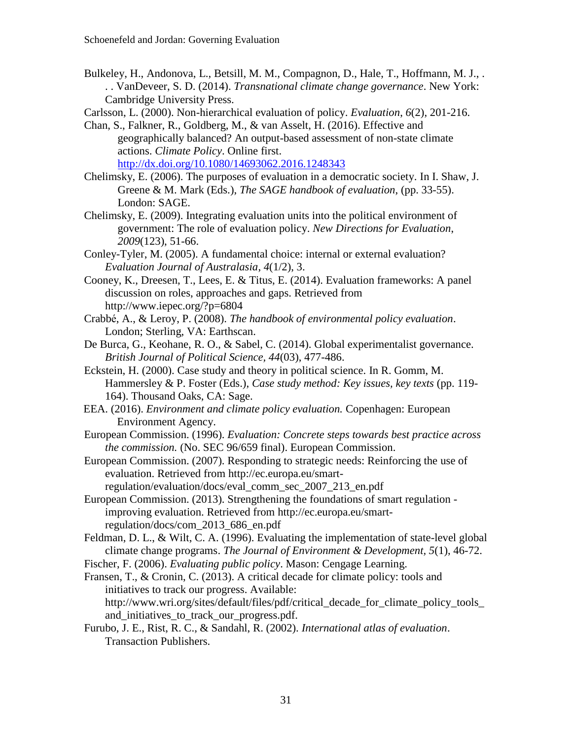Bulkeley, H., Andonova, L., Betsill, M. M., Compagnon, D., Hale, T., Hoffmann, M. J., . . . VanDeveer, S. D. (2014). *Transnational climate change governance*. New York: Cambridge University Press.

Carlsson, L. (2000). Non-hierarchical evaluation of policy. *Evaluation*, *6*(2), 201-216.

- Chan, S., Falkner, R., Goldberg, M., & van Asselt, H. (2016). Effective and geographically balanced? An output-based assessment of non-state climate actions. *Climate Policy*. Online first. <http://dx.doi.org/10.1080/14693062.2016.1248343>
- Chelimsky, E. (2006). The purposes of evaluation in a democratic society. In I. Shaw, J. Greene & M. Mark (Eds.), *The SAGE handbook of evaluation*, (pp. 33-55). London: SAGE.
- Chelimsky, E. (2009). Integrating evaluation units into the political environment of government: The role of evaluation policy. *New Directions for Evaluation*, *2009*(123), 51-66.
- Conley-Tyler, M. (2005). A fundamental choice: internal or external evaluation? *Evaluation Journal of Australasia*, *4*(1/2), 3.
- Cooney, K., Dreesen, T., Lees, E. & Titus, E. (2014). Evaluation frameworks: A panel discussion on roles, approaches and gaps. Retrieved from http://www.iepec.org/?p=6804
- Crabbé, A., & Leroy, P. (2008). *The handbook of environmental policy evaluation*. London; Sterling, VA: Earthscan.
- De Burca, G., Keohane, R. O., & Sabel, C. (2014). Global experimentalist governance. *British Journal of Political Science, 44*(03), 477-486.
- Eckstein, H. (2000). Case study and theory in political science. In R. Gomm, M. Hammersley & P. Foster (Eds.), *Case study method: Key issues, key texts* (pp. 119- 164). Thousand Oaks, CA: Sage.
- EEA. (2016). *Environment and climate policy evaluation.* Copenhagen: European Environment Agency.
- European Commission. (1996). *Evaluation: Concrete steps towards best practice across the commission.* (No. SEC 96/659 final). European Commission.
- European Commission. (2007). Responding to strategic needs: Reinforcing the use of evaluation. Retrieved from http://ec.europa.eu/smartregulation/evaluation/docs/eval\_comm\_sec\_2007\_213\_en.pdf
- European Commission. (2013). Strengthening the foundations of smart regulation improving evaluation. Retrieved from http://ec.europa.eu/smartregulation/docs/com\_2013\_686\_en.pdf
- Feldman, D. L., & Wilt, C. A. (1996). Evaluating the implementation of state-level global climate change programs. *The Journal of Environment & Development, 5*(1), 46-72.
- Fischer, F. (2006). *Evaluating public policy*. Mason: Cengage Learning.
- Fransen, T., & Cronin, C. (2013). A critical decade for climate policy: tools and initiatives to track our progress. Available: http://www.wri.org/sites/default/files/pdf/critical decade for climate policy tools and\_initiatives\_to\_track\_our\_progress.pdf.
- Furubo, J. E., Rist, R. C., & Sandahl, R. (2002). *International atlas of evaluation*. Transaction Publishers.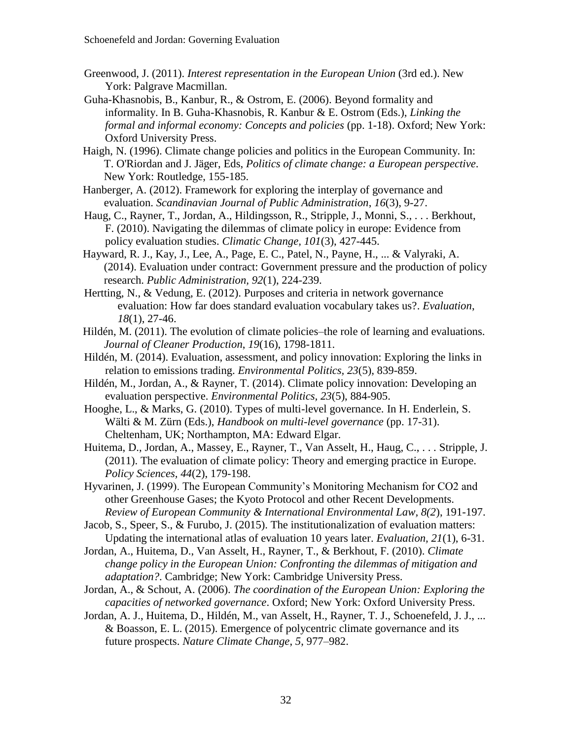- Greenwood, J. (2011). *Interest representation in the European Union* (3rd ed.). New York: Palgrave Macmillan.
- Guha-Khasnobis, B., Kanbur, R., & Ostrom, E. (2006). Beyond formality and informality. In B. Guha-Khasnobis, R. Kanbur & E. Ostrom (Eds.), *Linking the formal and informal economy: Concepts and policies* (pp. 1-18). Oxford; New York: Oxford University Press.
- Haigh, N. (1996). Climate change policies and politics in the European Community. In: T. O'Riordan and J. Jäger, Eds, *Politics of climate change: a European perspective*. New York: Routledge, 155-185.
- Hanberger, A. (2012). Framework for exploring the interplay of governance and evaluation. *Scandinavian Journal of Public Administration*, *16*(3), 9-27.
- Haug, C., Rayner, T., Jordan, A., Hildingsson, R., Stripple, J., Monni, S., . . . Berkhout, F. (2010). Navigating the dilemmas of climate policy in europe: Evidence from policy evaluation studies. *Climatic Change, 101*(3), 427-445.
- Hayward, R. J., Kay, J., Lee, A., Page, E. C., Patel, N., Payne, H., ... & Valyraki, A. (2014). Evaluation under contract: Government pressure and the production of policy research. *Public Administration, 92*(1), 224-239.
- Hertting, N., & Vedung, E. (2012). Purposes and criteria in network governance evaluation: How far does standard evaluation vocabulary takes us?. *Evaluation*, *18*(1), 27-46.
- Hildén, M. (2011). The evolution of climate policies–the role of learning and evaluations. *Journal of Cleaner Production*, *19*(16), 1798-1811.
- Hildén, M. (2014). Evaluation, assessment, and policy innovation: Exploring the links in relation to emissions trading. *Environmental Politics, 23*(5), 839-859.
- Hildén, M., Jordan, A., & Rayner, T. (2014). Climate policy innovation: Developing an evaluation perspective. *Environmental Politics, 23*(5), 884-905.
- Hooghe, L., & Marks, G. (2010). Types of multi-level governance. In H. Enderlein, S. Wälti & M. Zürn (Eds.), *Handbook on multi-level governance* (pp. 17-31). Cheltenham, UK; Northampton, MA: Edward Elgar.
- Huitema, D., Jordan, A., Massey, E., Rayner, T., Van Asselt, H., Haug, C., . . . Stripple, J. (2011). The evaluation of climate policy: Theory and emerging practice in Europe. *Policy Sciences, 44*(2), 179-198.
- Hyvarinen, J. (1999). The European Community's Monitoring Mechanism for CO2 and other Greenhouse Gases; the Kyoto Protocol and other Recent Developments. *Review of European Community & International Environmental Law, 8(2*), 191-197.
- Jacob, S., Speer, S., & Furubo, J. (2015). The institutionalization of evaluation matters: Updating the international atlas of evaluation 10 years later. *Evaluation, 21*(1), 6-31.
- Jordan, A., Huitema, D., Van Asselt, H., Rayner, T., & Berkhout, F. (2010). *Climate change policy in the European Union: Confronting the dilemmas of mitigation and adaptation?*. Cambridge; New York: Cambridge University Press.
- Jordan, A., & Schout, A. (2006). *The coordination of the European Union: Exploring the capacities of networked governance*. Oxford; New York: Oxford University Press.
- Jordan, A. J., Huitema, D., Hildén, M., van Asselt, H., Rayner, T. J., Schoenefeld, J. J., ... & Boasson, E. L. (2015). Emergence of polycentric climate governance and its future prospects. *Nature Climate Change*, *5*, 977–982.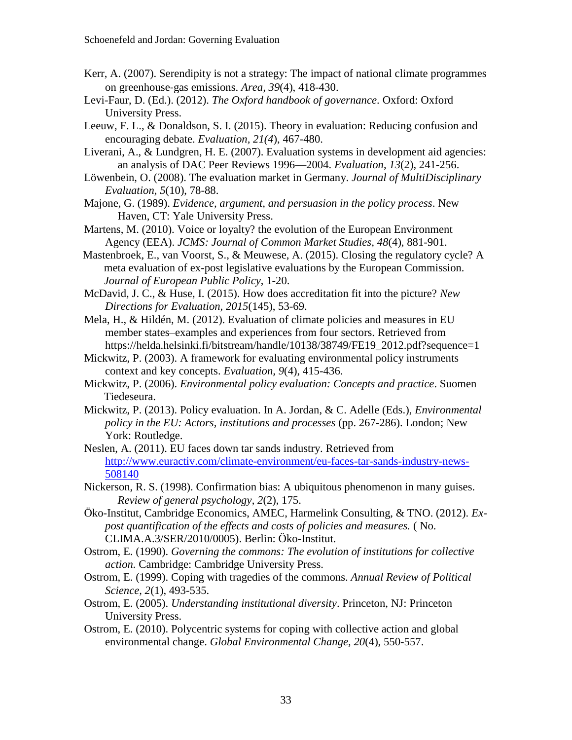- Kerr, A. (2007). Serendipity is not a strategy: The impact of national climate programmes on greenhouse‐gas emissions. *Area, 39*(4), 418-430.
- Levi-Faur, D. (Ed.). (2012). *The Oxford handbook of governance*. Oxford: Oxford University Press.
- Leeuw, F. L., & Donaldson, S. I. (2015). Theory in evaluation: Reducing confusion and encouraging debate. *Evaluation, 21(4*), 467-480.
- Liverani, A., & Lundgren, H. E. (2007). Evaluation systems in development aid agencies: an analysis of DAC Peer Reviews 1996—2004. *Evaluation*, *13*(2), 241-256.
- Löwenbein, O. (2008). The evaluation market in Germany. *Journal of MultiDisciplinary Evaluation, 5*(10), 78-88.
- Majone, G. (1989). *Evidence, argument, and persuasion in the policy process*. New Haven, CT: Yale University Press.
- Martens, M. (2010). Voice or loyalty? the evolution of the European Environment Agency (EEA). *JCMS: Journal of Common Market Studies, 48*(4), 881-901.
- Mastenbroek, E., van Voorst, S., & Meuwese, A. (2015). Closing the regulatory cycle? A meta evaluation of ex-post legislative evaluations by the European Commission. *Journal of European Public Policy*, 1-20.
- McDavid, J. C., & Huse, I. (2015). How does accreditation fit into the picture? *New Directions for Evaluation, 2015*(145), 53-69.
- Mela, H., & Hildén, M. (2012). Evaluation of climate policies and measures in EU member states–examples and experiences from four sectors. Retrieved from https://helda.helsinki.fi/bitstream/handle/10138/38749/FE19\_2012.pdf?sequence=1
- Mickwitz, P. (2003). A framework for evaluating environmental policy instruments context and key concepts. *Evaluation, 9*(4), 415-436.
- Mickwitz, P. (2006). *Environmental policy evaluation: Concepts and practice*. Suomen Tiedeseura.
- Mickwitz, P. (2013). Policy evaluation. In A. Jordan, & C. Adelle (Eds.), *Environmental policy in the EU: Actors, institutions and processes* (pp. 267-286). London; New York: Routledge.
- Neslen, A. (2011). EU faces down tar sands industry. Retrieved from [http://www.euractiv.com/climate-environment/eu-faces-tar-sands-industry-news-](http://www.euractiv.com/climate-environment/eu-faces-tar-sands-industry-news-508140)[508140](http://www.euractiv.com/climate-environment/eu-faces-tar-sands-industry-news-508140)
- Nickerson, R. S. (1998). Confirmation bias: A ubiquitous phenomenon in many guises. *Review of general psychology*, *2*(2), 175.
- Öko-Institut, Cambridge Economics, AMEC, Harmelink Consulting, & TNO. (2012). *Expost quantification of the effects and costs of policies and measures.* ( No. CLIMA.A.3/SER/2010/0005). Berlin: Öko-Institut.
- Ostrom, E. (1990). *Governing the commons: The evolution of institutions for collective action.* Cambridge: Cambridge University Press.
- Ostrom, E. (1999). Coping with tragedies of the commons. *Annual Review of Political Science, 2*(1), 493-535.
- Ostrom, E. (2005). *Understanding institutional diversity*. Princeton, NJ: Princeton University Press.
- Ostrom, E. (2010). Polycentric systems for coping with collective action and global environmental change. *Global Environmental Change, 20*(4), 550-557.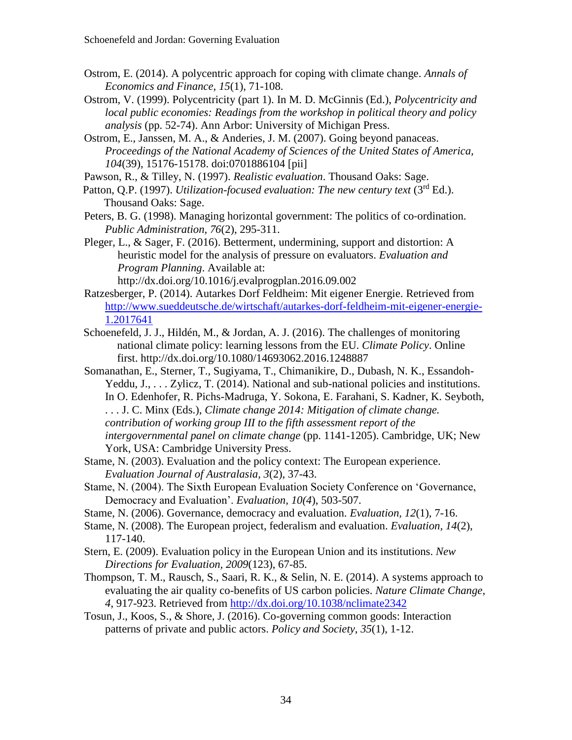- Ostrom, E. (2014). A polycentric approach for coping with climate change. *Annals of Economics and Finance, 15*(1), 71-108.
- Ostrom, V. (1999). Polycentricity (part 1). In M. D. McGinnis (Ed.), *Polycentricity and local public economies: Readings from the workshop in political theory and policy analysis* (pp. 52-74). Ann Arbor: University of Michigan Press.
- Ostrom, E., Janssen, M. A., & Anderies, J. M. (2007). Going beyond panaceas. *Proceedings of the National Academy of Sciences of the United States of America, 104*(39), 15176-15178. doi:0701886104 [pii]

Pawson, R., & Tilley, N. (1997). *Realistic evaluation*. Thousand Oaks: Sage.

- Patton, Q.P. (1997). *Utilization-focused evaluation: The new century text* (3<sup>rd</sup> Ed.). Thousand Oaks: Sage.
- Peters, B. G. (1998). Managing horizontal government: The politics of co-ordination. *Public Administration, 76*(2), 295-311.
- Pleger, L., & Sager, F. (2016). Betterment, undermining, support and distortion: A heuristic model for the analysis of pressure on evaluators. *Evaluation and Program Planning*. Available at: http://dx.doi.org/10.1016/j.evalprogplan.2016.09.002
- Ratzesberger, P. (2014). Autarkes Dorf Feldheim: Mit eigener Energie. Retrieved from [http://www.sueddeutsche.de/wirtschaft/autarkes-dorf-feldheim-mit-eigener-energie-](http://www.sueddeutsche.de/wirtschaft/autarkes-dorf-feldheim-mit-eigener-energie-1.2017641)[1.2017641](http://www.sueddeutsche.de/wirtschaft/autarkes-dorf-feldheim-mit-eigener-energie-1.2017641)
- Schoenefeld, J. J., Hildén, M., & Jordan, A. J. (2016). The challenges of monitoring national climate policy: learning lessons from the EU. *Climate Policy*. Online first. http://dx.doi.org/10.1080/14693062.2016.1248887
- Somanathan, E., Sterner, T., Sugiyama, T., Chimanikire, D., Dubash, N. K., Essandoh-Yeddu, J., . . . Zylicz, T. (2014). National and sub-national policies and institutions. In O. Edenhofer, R. Pichs-Madruga, Y. Sokona, E. Farahani, S. Kadner, K. Seyboth, . . . J. C. Minx (Eds.), *Climate change 2014: Mitigation of climate change. contribution of working group III to the fifth assessment report of the intergovernmental panel on climate change* (pp. 1141-1205). Cambridge, UK; New York, USA: Cambridge University Press.
- Stame, N. (2003). Evaluation and the policy context: The European experience. *Evaluation Journal of Australasia, 3*(2), 37-43.
- Stame, N. (2004). The Sixth European Evaluation Society Conference on 'Governance, Democracy and Evaluation'. *Evaluation, 10(4*), 503-507.
- Stame, N. (2006). Governance, democracy and evaluation. *Evaluation, 12*(1), 7-16.
- Stame, N. (2008). The European project, federalism and evaluation. *Evaluation, 14*(2), 117-140.
- Stern, E. (2009). Evaluation policy in the European Union and its institutions. *New Directions for Evaluation, 2009*(123), 67-85.
- Thompson, T. M., Rausch, S., Saari, R. K., & Selin, N. E. (2014). A systems approach to evaluating the air quality co-benefits of US carbon policies. *Nature Climate Change, 4*, 917-923. Retrieved from<http://dx.doi.org/10.1038/nclimate2342>
- Tosun, J., Koos, S., & Shore, J. (2016). Co-governing common goods: Interaction patterns of private and public actors. *Policy and Society*, *35*(1), 1-12.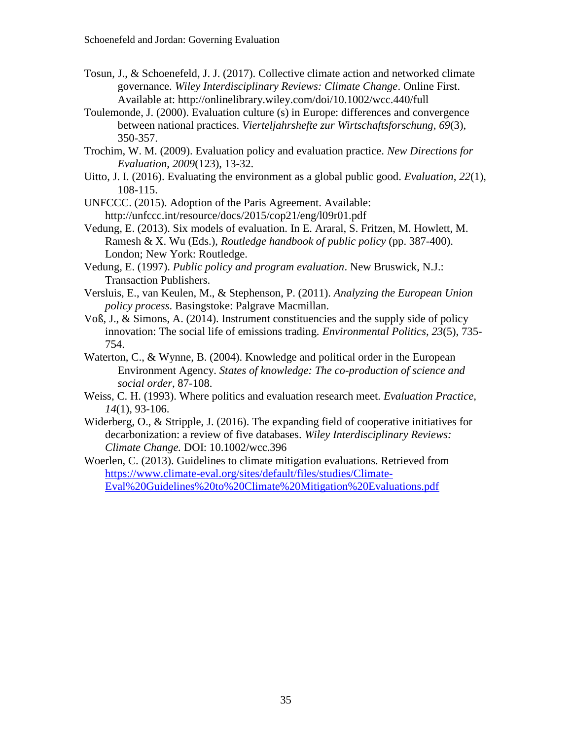- Tosun, J., & Schoenefeld, J. J. (2017). Collective climate action and networked climate governance. *Wiley Interdisciplinary Reviews: Climate Change*. Online First. Available at: http://onlinelibrary.wiley.com/doi/10.1002/wcc.440/full
- Toulemonde, J. (2000). Evaluation culture (s) in Europe: differences and convergence between national practices. *Vierteljahrshefte zur Wirtschaftsforschung*, *69*(3), 350-357.
- Trochim, W. M. (2009). Evaluation policy and evaluation practice. *New Directions for Evaluation*, *2009*(123), 13-32.
- Uitto, J. I. (2016). Evaluating the environment as a global public good. *Evaluation*, *22*(1), 108-115.
- UNFCCC. (2015). Adoption of the Paris Agreement. Available: http://unfccc.int/resource/docs/2015/cop21/eng/l09r01.pdf
- Vedung, E. (2013). Six models of evaluation. In E. Araral, S. Fritzen, M. Howlett, M. Ramesh & X. Wu (Eds.), *Routledge handbook of public policy* (pp. 387-400). London; New York: Routledge.
- Vedung, E. (1997). *Public policy and program evaluation*. New Bruswick, N.J.: Transaction Publishers.
- Versluis, E., van Keulen, M., & Stephenson, P. (2011). *Analyzing the European Union policy process*. Basingstoke: Palgrave Macmillan.
- Voß, J., & Simons, A. (2014). Instrument constituencies and the supply side of policy innovation: The social life of emissions trading. *Environmental Politics, 23*(5), 735- 754.
- Waterton, C., & Wynne, B. (2004). Knowledge and political order in the European Environment Agency. *States of knowledge: The co-production of science and social order*, 87-108.
- Weiss, C. H. (1993). Where politics and evaluation research meet. *Evaluation Practice, 14*(1), 93-106.
- Widerberg, O., & Stripple, J. (2016). The expanding field of cooperative initiatives for decarbonization: a review of five databases. *Wiley Interdisciplinary Reviews: Climate Change.* DOI: 10.1002/wcc.396
- Woerlen, C. (2013). Guidelines to climate mitigation evaluations. Retrieved from [https://www.climate-eval.org/sites/default/files/studies/Climate-](https://www.climate-eval.org/sites/default/files/studies/Climate-Eval%20Guidelines%20to%20Climate%20Mitigation%20Evaluations.pdf)[Eval%20Guidelines%20to%20Climate%20Mitigation%20Evaluations.pdf](https://www.climate-eval.org/sites/default/files/studies/Climate-Eval%20Guidelines%20to%20Climate%20Mitigation%20Evaluations.pdf)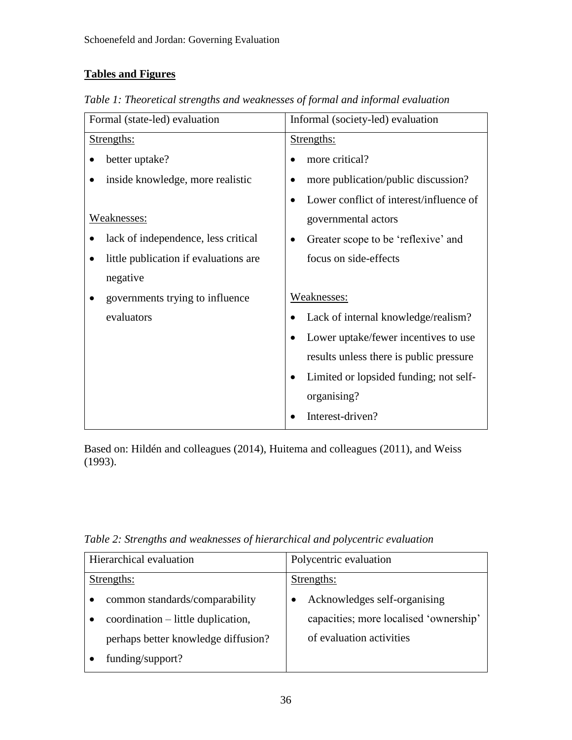# **Tables and Figures**

| Formal (state-led) evaluation         | Informal (society-led) evaluation                   |
|---------------------------------------|-----------------------------------------------------|
| Strengths:                            | Strengths:                                          |
| better uptake?                        | more critical?                                      |
| inside knowledge, more realistic      | more publication/public discussion?                 |
|                                       | Lower conflict of interest/influence of             |
| Weaknesses:                           | governmental actors                                 |
| lack of independence, less critical   | Greater scope to be 'reflexive' and                 |
| little publication if evaluations are | focus on side-effects                               |
| negative                              |                                                     |
| governments trying to influence       | Weaknesses:                                         |
| evaluators                            | Lack of internal knowledge/realism?                 |
|                                       | Lower uptake/fewer incentives to use                |
|                                       | results unless there is public pressure             |
|                                       | Limited or lopsided funding; not self-<br>$\bullet$ |
|                                       | organising?                                         |
|                                       | Interest-driven?                                    |

*Table 1: Theoretical strengths and weaknesses of formal and informal evaluation*

Based on: Hildén and colleagues (2014), Huitema and colleagues (2011), and Weiss (1993).

*Table 2: Strengths and weaknesses of hierarchical and polycentric evaluation*

|  | Hierarchical evaluation             |            | Polycentric evaluation                 |  |  |
|--|-------------------------------------|------------|----------------------------------------|--|--|
|  | Strengths:                          | Strengths: |                                        |  |  |
|  | common standards/comparability      |            | Acknowledges self-organising           |  |  |
|  | coordination – little duplication,  |            | capacities; more localised 'ownership' |  |  |
|  | perhaps better knowledge diffusion? |            | of evaluation activities               |  |  |
|  | funding/support?                    |            |                                        |  |  |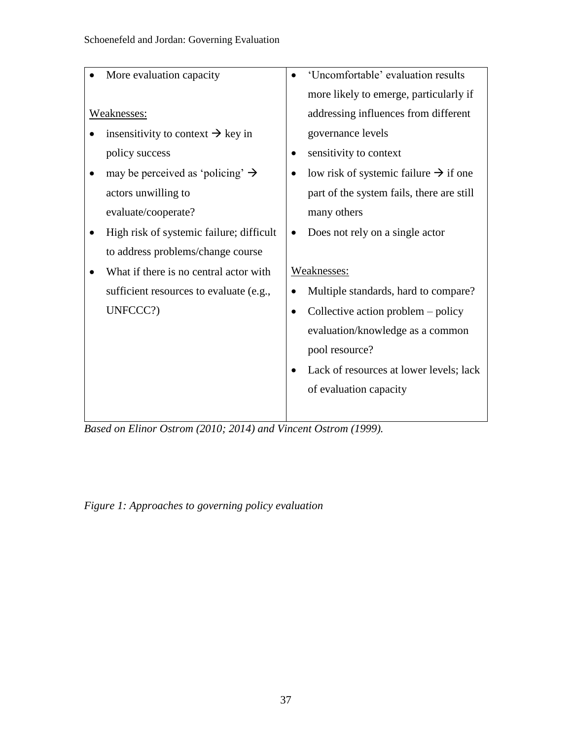| More evaluation capacity                      |           | 'Uncomfortable' evaluation results                |
|-----------------------------------------------|-----------|---------------------------------------------------|
|                                               |           | more likely to emerge, particularly if            |
| <u>Weaknesses:</u>                            |           | addressing influences from different              |
| insensitivity to context $\rightarrow$ key in |           | governance levels                                 |
| policy success                                |           | sensitivity to context                            |
| may be perceived as 'policing' $\rightarrow$  |           | low risk of systemic failure $\rightarrow$ if one |
| actors unwilling to                           |           | part of the system fails, there are still         |
| evaluate/cooperate?                           |           | many others                                       |
| High risk of systemic failure; difficult      |           | Does not rely on a single actor                   |
| to address problems/change course             |           |                                                   |
| What if there is no central actor with        |           | Weaknesses:                                       |
| sufficient resources to evaluate (e.g.,       |           | Multiple standards, hard to compare?              |
| UNFCCC?)                                      | $\bullet$ | Collective action problem – policy                |
|                                               |           | evaluation/knowledge as a common                  |
|                                               |           | pool resource?                                    |
|                                               |           | Lack of resources at lower levels; lack           |
|                                               |           | of evaluation capacity                            |
|                                               |           |                                                   |

*Based on Elinor Ostrom (2010; 2014) and Vincent Ostrom (1999).*

*Figure 1: Approaches to governing policy evaluation*